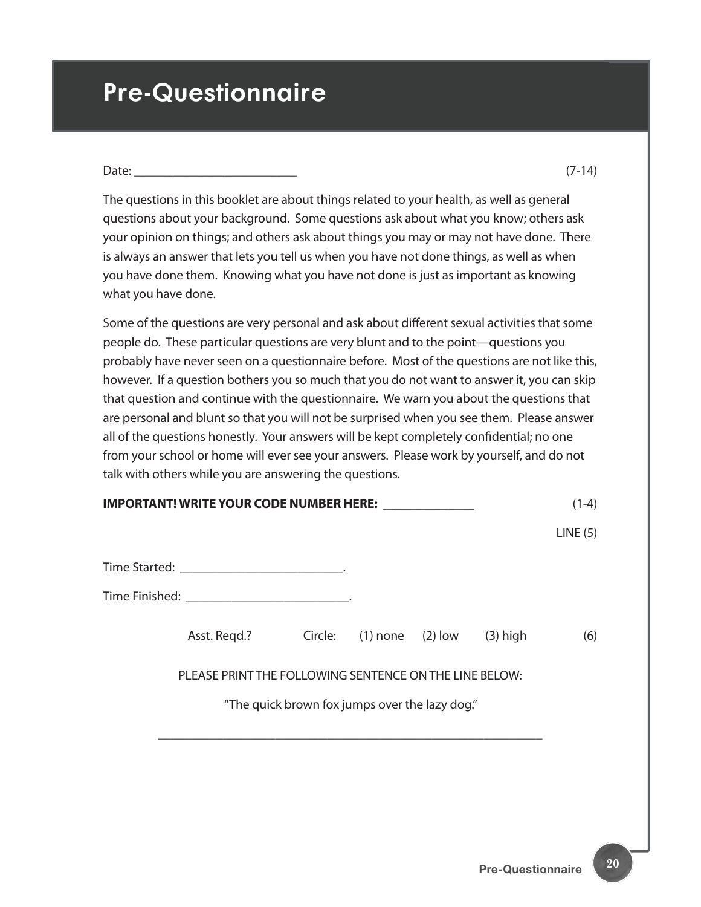# **Pre-Questionnaire**

| Date: |  |  |
|-------|--|--|
|       |  |  |

The questions in this booklet are about things related to your health, as well as general questions about your background. Some questions ask about what you know; others ask your opinion on things; and others ask about things you may or may not have done. There is always an answer that lets you tell us when you have not done things, as well as when you have done them. Knowing what you have not done is just as important as knowing what you have done.

Some of the questions are very personal and ask about different sexual activities that some people do. These particular questions are very blunt and to the point—questions you probably have never seen on a questionnaire before. Most of the questions are not like this, however. If a question bothers you so much that you do not want to answer it, you can skip that question and continue with the questionnaire. We warn you about the questions that are personal and blunt so that you will not be surprised when you see them. Please answer all of the questions honestly. Your answers will be kept completely confidential; no one from your school or home will ever see your answers. Please work by yourself, and do not talk with others while you are answering the questions.

| IMPORTANT! WRITE YOUR CODE NUMBER HERE: ______________ |                                         |  | $(1-4)$ |
|--------------------------------------------------------|-----------------------------------------|--|---------|
|                                                        |                                         |  | LINE(5) |
|                                                        |                                         |  |         |
|                                                        |                                         |  |         |
| Asst. Regd.?                                           | Circle: $(1)$ none $(2)$ low $(3)$ high |  | (6)     |
| PLEASE PRINT THE FOLLOWING SENTENCE ON THE LINE BELOW: |                                         |  |         |
| "The quick brown fox jumps over the lazy dog."         |                                         |  |         |
|                                                        |                                         |  |         |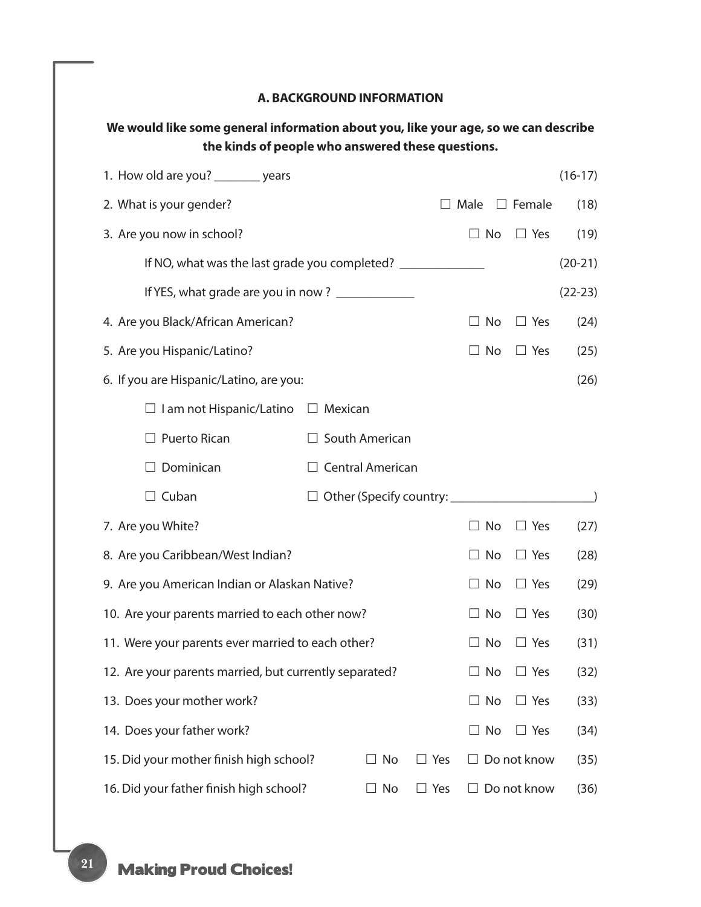#### **A. BACKGROUND INFORMATION**

| We would like some general information about you, like your age, so we can describe | the kinds of people who answered these questions. |            |              |               |           |
|-------------------------------------------------------------------------------------|---------------------------------------------------|------------|--------------|---------------|-----------|
| 1. How old are you? ________ years                                                  |                                                   |            |              |               | $(16-17)$ |
| 2. What is your gender?                                                             |                                                   |            | $\Box$ Male  | $\Box$ Female | (18)      |
| 3. Are you now in school?                                                           |                                                   |            | $\Box$ No    | $\Box$ Yes    | (19)      |
| If NO, what was the last grade you completed?                                       |                                                   |            |              |               | $(20-21)$ |
| If YES, what grade are you in now? ____________                                     |                                                   |            |              |               | $(22-23)$ |
| 4. Are you Black/African American?                                                  |                                                   |            | $\Box$ No    | $\Box$ Yes    | (24)      |
| 5. Are you Hispanic/Latino?                                                         |                                                   |            | $\Box$ No    | $\Box$ Yes    | (25)      |
| 6. If you are Hispanic/Latino, are you:                                             |                                                   |            |              |               | (26)      |
| $\Box$ I am not Hispanic/Latino                                                     | $\Box$ Mexican                                    |            |              |               |           |
| $\Box$ Puerto Rican                                                                 | $\Box$ South American                             |            |              |               |           |
| Dominican                                                                           | $\Box$ Central American                           |            |              |               |           |
| $\Box$ Cuban                                                                        |                                                   |            |              |               |           |
| 7. Are you White?                                                                   |                                                   |            | $\Box$ No    | $\Box$ Yes    | (27)      |
| 8. Are you Caribbean/West Indian?                                                   |                                                   |            | $\Box$ No    | $\Box$ Yes    | (28)      |
| 9. Are you American Indian or Alaskan Native?                                       |                                                   |            | No<br>$\Box$ | $\Box$ Yes    | (29)      |
| 10. Are your parents married to each other now?                                     |                                                   |            | No           | $\Box$ Yes    | (30)      |
| 11. Were your parents ever married to each other?                                   |                                                   |            | No           | $\Box$ Yes    | (31)      |
| 12. Are your parents married, but currently separated?                              |                                                   |            | $\Box$ No    | $\Box$ Yes    | (32)      |
| 13. Does your mother work?                                                          |                                                   |            | No<br>$\Box$ | $\Box$ Yes    | (33)      |
| 14. Does your father work?                                                          |                                                   |            | $\Box$ No    | $\Box$ Yes    | (34)      |
| 15. Did your mother finish high school?                                             | No                                                | $\Box$ Yes |              | Do not know   | (35)      |
| 16. Did your father finish high school?                                             | No<br>ш                                           | $\Box$ Yes |              | Do not know   | (36)      |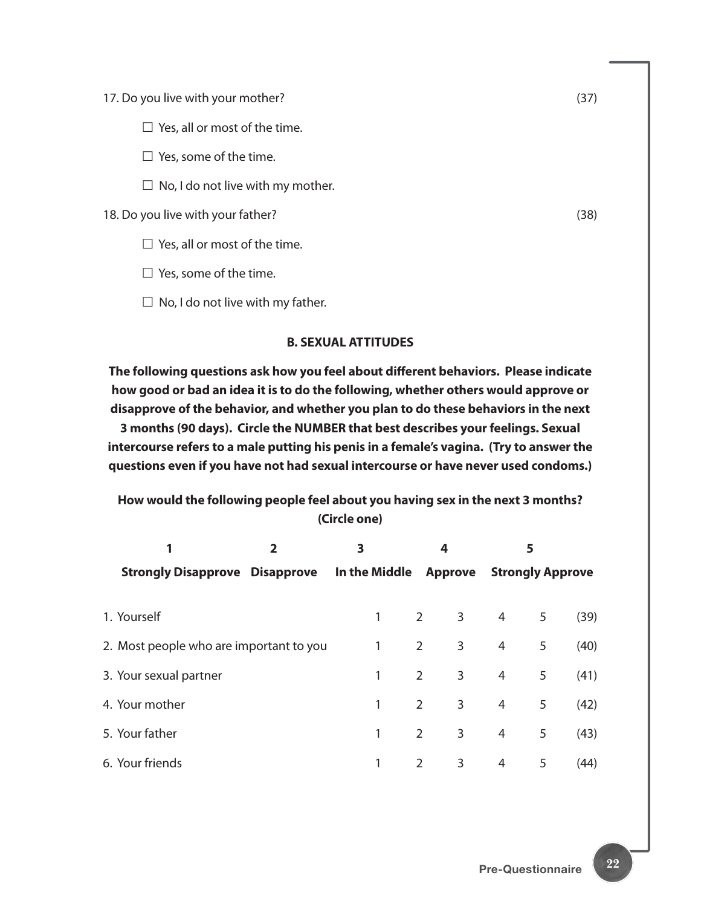17. Do you live with your mother? (37)

 $\square$  Yes, all or most of the time.

 $\square$  Yes, some of the time.

 $\Box$  No, I do not live with my mother.

18. Do you live with your father? (38)

 $\square$  Yes, all or most of the time.

 $\square$  Yes, some of the time.

 $\Box$  No, I do not live with my father.

#### **B. SEXUAL ATTITUDES**

**The following questions ask how you feel about different behaviors. Please indicate how good or bad an idea it is to do the following, whether others would approve or disapprove of the behavior, and whether you plan to do these behaviors in the next 3 months (90 days). Circle the NUMBER that best describes your feelings. Sexual intercourse refers to a male putting his penis in a female's vagina. (Try to answer the questions even if you have not had sexual intercourse or have never used condoms.)**

**How would the following people feel about you having sex in the next 3 months? (Circle one)**

|                                         | 3<br>$\mathbf{2}$ |               |                | 4                            |                         |   |      |
|-----------------------------------------|-------------------|---------------|----------------|------------------------------|-------------------------|---|------|
| <b>Strongly Disapprove Disapprove</b>   |                   | In the Middle |                | Approve                      | <b>Strongly Approve</b> |   |      |
|                                         |                   |               |                |                              |                         |   |      |
| 1. Yourself                             |                   | 1             |                | $2^{\sim}$<br>3 <sup>7</sup> | $\overline{4}$          | 5 | (39) |
| 2. Most people who are important to you |                   | 1             | $2^{\circ}$    | 3                            | 4                       | 5 | (40) |
| 3. Your sexual partner                  |                   | 1             | $2^{\circ}$    | 3                            | 4                       | 5 | (41) |
| 4. Your mother                          |                   | 1             | $\overline{2}$ | 3                            | 4                       | 5 | (42) |
| 5. Your father                          |                   | 1             | $\overline{2}$ | 3                            | 4                       | 5 | (43) |
| 6. Your friends                         |                   | 1             | 2              | 3                            | 4                       | 5 | (44) |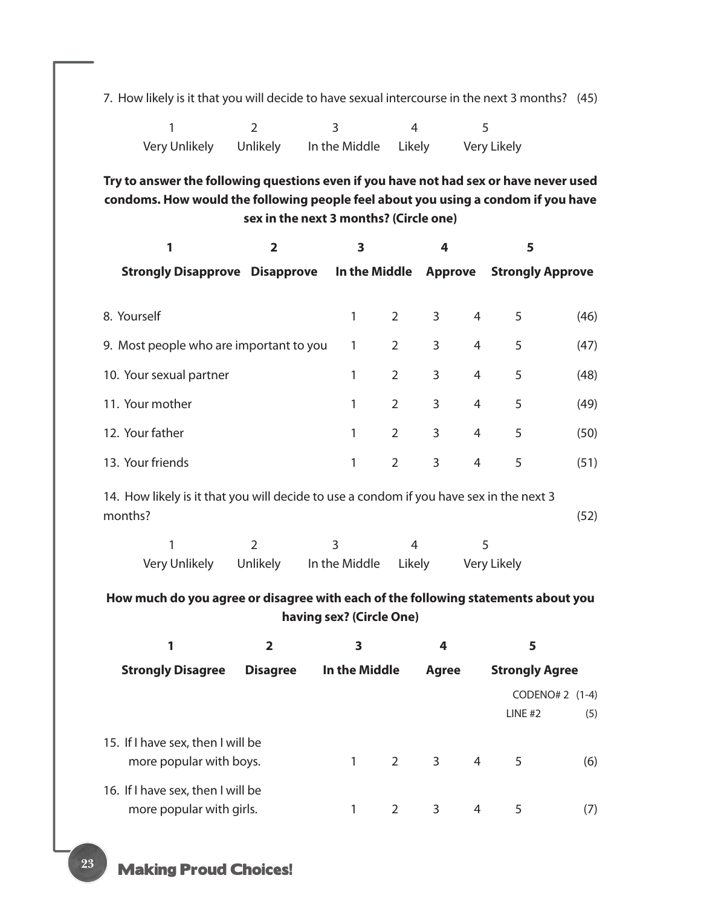7. How likely is it that you will decide to have sexual intercourse in the next 3 months? (45)

1 2 3 4 5 Very Unlikely Unlikely In the Middle Likely Very Likely

**Try to answer the following questions even if you have not had sex or have never used condoms. How would the following people feel about you using a condom if you have sex in the next 3 months? (Circle one)**

| 1                                                                                       | $\overline{2}$          | $\overline{\mathbf{3}}$ |                | 4 |                | 5           |                         |  |  |
|-----------------------------------------------------------------------------------------|-------------------------|-------------------------|----------------|---|----------------|-------------|-------------------------|--|--|
| <b>Strongly Disapprove Disapprove In the Middle Approve</b>                             |                         |                         |                |   |                |             | <b>Strongly Approve</b> |  |  |
|                                                                                         |                         |                         |                |   |                |             |                         |  |  |
| 8. Yourself                                                                             |                         | 1                       | $\overline{2}$ | 3 | $\overline{4}$ | 5           | (46)                    |  |  |
| 9. Most people who are important to you                                                 |                         | 1                       | $\overline{2}$ | 3 | $\overline{4}$ | 5           | (47)                    |  |  |
| 10. Your sexual partner                                                                 |                         | 1                       | $\overline{2}$ | 3 | 4              | 5           | (48)                    |  |  |
| 11. Your mother                                                                         |                         | 1                       | $\overline{2}$ | 3 | 4              | 5           | (49)                    |  |  |
| 12. Your father                                                                         |                         | 1                       | $\overline{2}$ | 3 | 4              | 5           | (50)                    |  |  |
| 13. Your friends                                                                        |                         | 1                       | $\overline{2}$ | 3 | 4              | 5           | (51)                    |  |  |
| 14. How likely is it that you will decide to use a condom if you have sex in the next 3 |                         |                         |                |   |                |             |                         |  |  |
| months?                                                                                 |                         |                         |                |   |                |             | (52)                    |  |  |
| 1                                                                                       | $\overline{2}$          | $\overline{3}$          | 4              |   | 5              |             |                         |  |  |
| Very Unlikely                                                                           | Unlikely                | In the Middle           | Likely         |   |                | Very Likely |                         |  |  |
| How much do you agree or disagree with each of the following statements about you       |                         |                         |                |   |                |             |                         |  |  |
| having sex? (Circle One)                                                                |                         |                         |                |   |                |             |                         |  |  |
| 1                                                                                       | $\overline{\mathbf{2}}$ | 3                       |                | 4 |                | 5           |                         |  |  |

| <b>Strongly Disagree</b>                                      | <b>Disagree</b> | In the Middle | Agree       |   | <b>Strongly Agree</b>          |     |
|---------------------------------------------------------------|-----------------|---------------|-------------|---|--------------------------------|-----|
|                                                               |                 |               |             |   | CODENO# 2 $(1-4)$<br>$LINE$ #2 | (5) |
| 15. If I have sex, then I will be<br>more popular with boys.  |                 |               | $2 \quad 3$ | 4 | 5                              | (6) |
| 16. If I have sex, then I will be<br>more popular with girls. |                 |               | 3           | 4 | 5                              | (7) |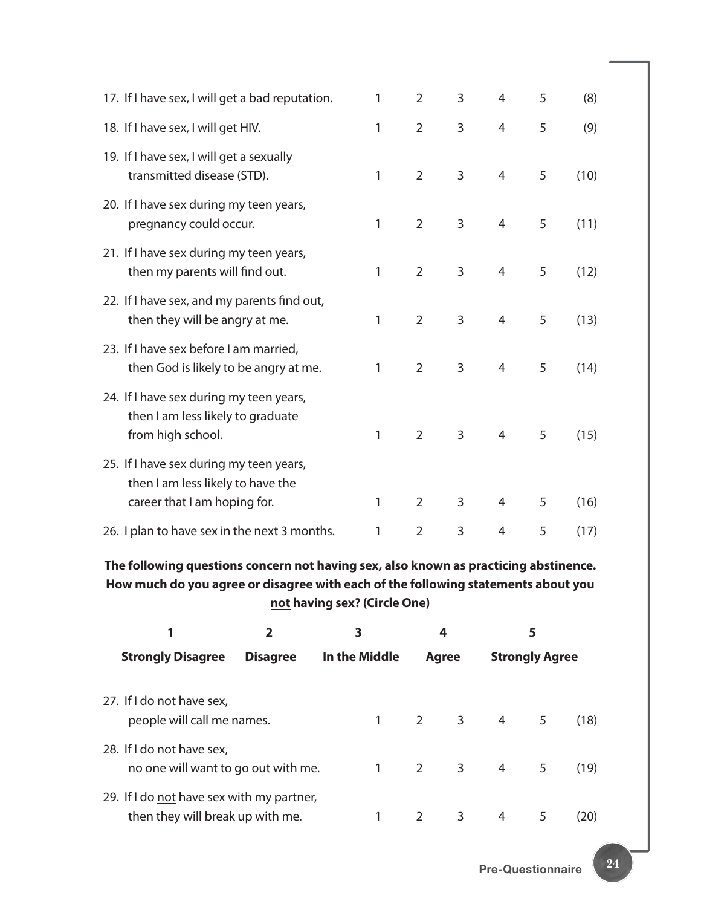| 17. If I have sex, I will get a bad reputation.                                                              | 1 | 2              | 3 | 4              | 5 | (8)  |  |
|--------------------------------------------------------------------------------------------------------------|---|----------------|---|----------------|---|------|--|
| 18. If I have sex, I will get HIV.                                                                           | 1 | $\overline{2}$ | 3 | 4              | 5 | (9)  |  |
| 19. If I have sex, I will get a sexually<br>transmitted disease (STD).                                       | 1 | $\overline{2}$ | 3 | $\overline{4}$ | 5 | (10) |  |
| 20. If I have sex during my teen years,<br>pregnancy could occur.                                            | 1 | $\overline{2}$ | 3 | 4              | 5 | (11) |  |
| 21. If I have sex during my teen years,<br>then my parents will find out.                                    | 1 | $\overline{2}$ | 3 | $\overline{4}$ | 5 | (12) |  |
| 22. If I have sex, and my parents find out,<br>then they will be angry at me.                                | 1 | $\overline{2}$ | 3 | 4              | 5 | (13) |  |
| 23. If I have sex before I am married,<br>then God is likely to be angry at me.                              | 1 | $\overline{2}$ | 3 | 4              | 5 | (14) |  |
| 24. If I have sex during my teen years,<br>then I am less likely to graduate<br>from high school.            | 1 | $\overline{2}$ | 3 | $\overline{4}$ | 5 | (15) |  |
| 25. If I have sex during my teen years,<br>then I am less likely to have the<br>career that I am hoping for. | 1 | $\overline{2}$ | 3 | 4              | 5 | (16) |  |
| 26. I plan to have sex in the next 3 months.                                                                 | 1 | $\overline{2}$ | 3 | $\overline{4}$ | 5 | (17) |  |
|                                                                                                              |   |                |   |                |   |      |  |

**The following questions concern not having sex, also known as practicing abstinence. How much do you agree or disagree with each of the following statements about you not having sex? (Circle One)**

| $\overline{2}$                                                                |                 | 3              |                               | 4            |                       |    |      |  |
|-------------------------------------------------------------------------------|-----------------|----------------|-------------------------------|--------------|-----------------------|----|------|--|
| <b>Strongly Disagree</b>                                                      | <b>Disagree</b> |                | In the Middle<br><b>Agree</b> |              | <b>Strongly Agree</b> |    |      |  |
| 27. If I do not have sex,<br>people will call me names.                       |                 | $1 \quad$      |                               |              | $2 \quad 3 \quad 4$   | 5  | (18) |  |
| 28. If I do not have sex,<br>no one will want to go out with me.              |                 | $1 \quad \Box$ |                               | $2 \qquad 3$ | $\overline{4}$        | 5. | (19) |  |
| 29. If I do not have sex with my partner,<br>then they will break up with me. |                 |                | 2                             | 3            | 4                     |    | (20) |  |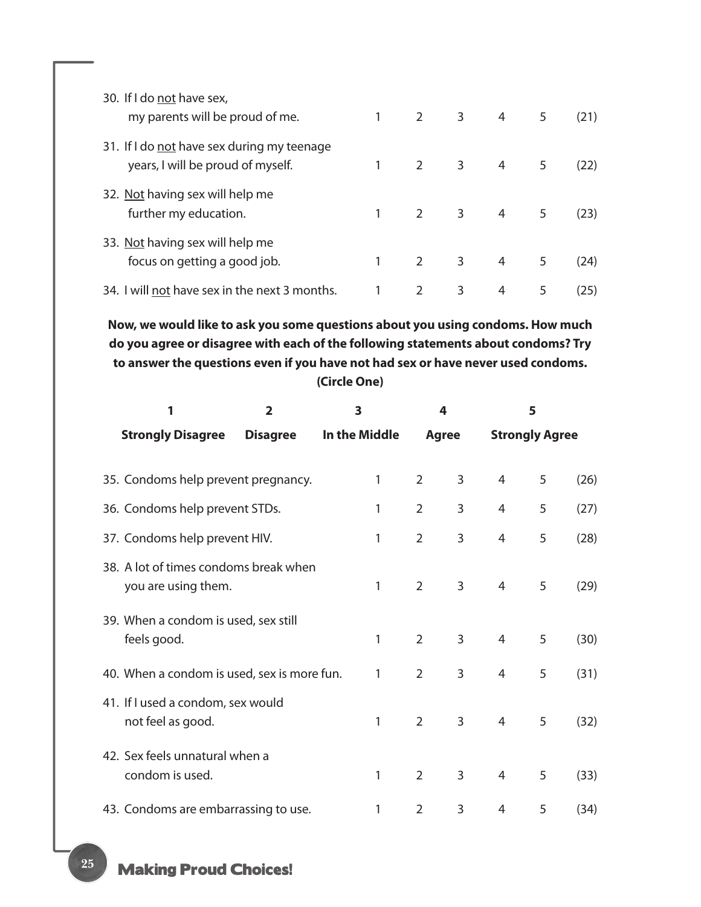| 30. If I do not have sex,<br>my parents will be proud of me.                    | $\mathbf{1}$ |   | $2 \qquad 3$            | $\overline{4}$ | 5 | (21) |
|---------------------------------------------------------------------------------|--------------|---|-------------------------|----------------|---|------|
| 31. If I do not have sex during my teenage<br>years, I will be proud of myself. |              | 2 | $3 \t 4$                |                | 5 | (22) |
| 32. Not having sex will help me<br>further my education.                        |              | 2 | $\overline{\mathbf{3}}$ | $\overline{4}$ | 5 | (23) |
| 33. Not having sex will help me<br>focus on getting a good job.                 |              | 2 | 3                       | 4              | 5 | (24) |
| 34. I will not have sex in the next 3 months.                                   |              | 2 | 3                       | 4              | 5 | (25) |

**Now, we would like to ask you some questions about you using condoms. How much do you agree or disagree with each of the following statements about condoms? Try to answer the questions even if you have not had sex or have never used condoms. (Circle One)**

| 1                                                            | $\overline{2}$  |               | 4              |   |                       |   |      |
|--------------------------------------------------------------|-----------------|---------------|----------------|---|-----------------------|---|------|
| <b>Strongly Disagree</b>                                     | <b>Disagree</b> | In the Middle | <b>Agree</b>   |   | <b>Strongly Agree</b> |   |      |
| 35. Condoms help prevent pregnancy.                          |                 | 1             | $\overline{2}$ | 3 | 4                     | 5 | (26) |
| 36. Condoms help prevent STDs.                               |                 | 1             | $\overline{2}$ | 3 | 4                     | 5 | (27) |
| 37. Condoms help prevent HIV.                                |                 | 1             | $\overline{2}$ | 3 | $\overline{4}$        | 5 | (28) |
| 38. A lot of times condoms break when<br>you are using them. |                 | 1             | $\overline{2}$ | 3 | 4                     | 5 | (29) |
| 39. When a condom is used, sex still<br>feels good.          |                 | 1             | $\overline{2}$ | 3 | $\overline{4}$        | 5 | (30) |
| 40. When a condom is used, sex is more fun.                  |                 | 1             | $\overline{2}$ | 3 | 4                     | 5 | (31) |
| 41. If I used a condom, sex would<br>not feel as good.       |                 | 1             | $\overline{2}$ | 3 | $\overline{4}$        | 5 | (32) |
| 42. Sex feels unnatural when a<br>condom is used.            |                 | 1             | $\overline{2}$ | 3 | $\overline{4}$        | 5 | (33) |
| 43. Condoms are embarrassing to use.                         |                 | 1             | $\overline{2}$ | 3 | $\overline{4}$        | 5 | (34) |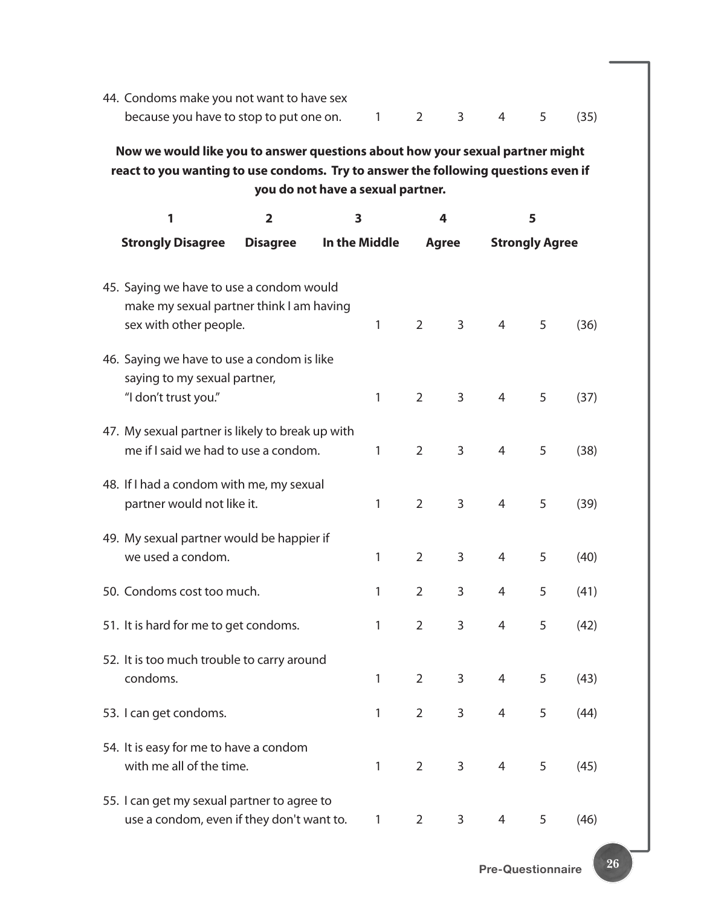| 44. Condoms make you not want to have sex              |  |  |  |
|--------------------------------------------------------|--|--|--|
| because you have to stop to put one on. 1 2 3 4 5 (35) |  |  |  |

**Now we would like you to answer questions about how your sexual partner might react to you wanting to use condoms. Try to answer the following questions even if you do not have a sexual partner.**

| 1                                                                      | 2               | 3             |              |                | 4              |                | 5                     |      |
|------------------------------------------------------------------------|-----------------|---------------|--------------|----------------|----------------|----------------|-----------------------|------|
| <b>Strongly Disagree</b>                                               | <b>Disagree</b> | In the Middle |              |                | <b>Agree</b>   |                | <b>Strongly Agree</b> |      |
|                                                                        |                 |               |              |                |                |                |                       |      |
| 45. Saying we have to use a condom would                               |                 |               |              |                |                |                |                       |      |
| make my sexual partner think I am having                               |                 |               |              |                |                |                |                       |      |
| sex with other people.                                                 |                 |               | $\mathbf{1}$ | $\overline{2}$ | 3              | 4              | 5                     | (36) |
| 46. Saying we have to use a condom is like                             |                 |               |              |                |                |                |                       |      |
| saying to my sexual partner,                                           |                 |               |              |                |                |                |                       |      |
| "I don't trust you."                                                   |                 |               | $\mathbf{1}$ | $\overline{2}$ | 3              | 4              | 5                     | (37) |
| 47. My sexual partner is likely to break up with                       |                 |               |              |                |                |                |                       |      |
| me if I said we had to use a condom.                                   |                 |               | 1            | $\overline{2}$ | 3              | $\overline{4}$ | 5                     | (38) |
|                                                                        |                 |               |              |                |                |                |                       |      |
| 48. If I had a condom with me, my sexual<br>partner would not like it. |                 |               | $\mathbf{1}$ | $\overline{2}$ | 3              | 4              | 5                     | (39) |
|                                                                        |                 |               |              |                |                |                |                       |      |
| 49. My sexual partner would be happier if                              |                 |               |              |                |                |                |                       |      |
| we used a condom.                                                      |                 |               | 1            | $\overline{2}$ | 3              | $\overline{4}$ | 5                     | (40) |
| 50. Condoms cost too much.                                             |                 |               | 1            | 2              | 3              | 4              | 5                     | (41) |
|                                                                        |                 |               |              |                |                |                |                       |      |
| 51. It is hard for me to get condoms.                                  |                 |               | 1            | $\overline{2}$ | 3              | 4              | 5                     | (42) |
| 52. It is too much trouble to carry around                             |                 |               |              |                |                |                |                       |      |
| condoms.                                                               |                 |               | 1            | 2              | 3              | $\overline{4}$ | 5                     | (43) |
|                                                                        |                 |               |              |                |                |                |                       |      |
| 53. I can get condoms.                                                 |                 |               | 1            | $\overline{2}$ | 3              | 4              | 5                     | (44) |
| 54. It is easy for me to have a condom                                 |                 |               |              |                |                |                |                       |      |
| with me all of the time.                                               |                 |               | $\mathbf{1}$ | $\overline{2}$ | 3 <sup>7</sup> | 4              | 5                     | (45) |
| 55. I can get my sexual partner to agree to                            |                 |               |              |                |                |                |                       |      |
| use a condom, even if they don't want to.                              |                 |               | $\mathbf{1}$ | 2              | 3              | 4              | 5                     | (46) |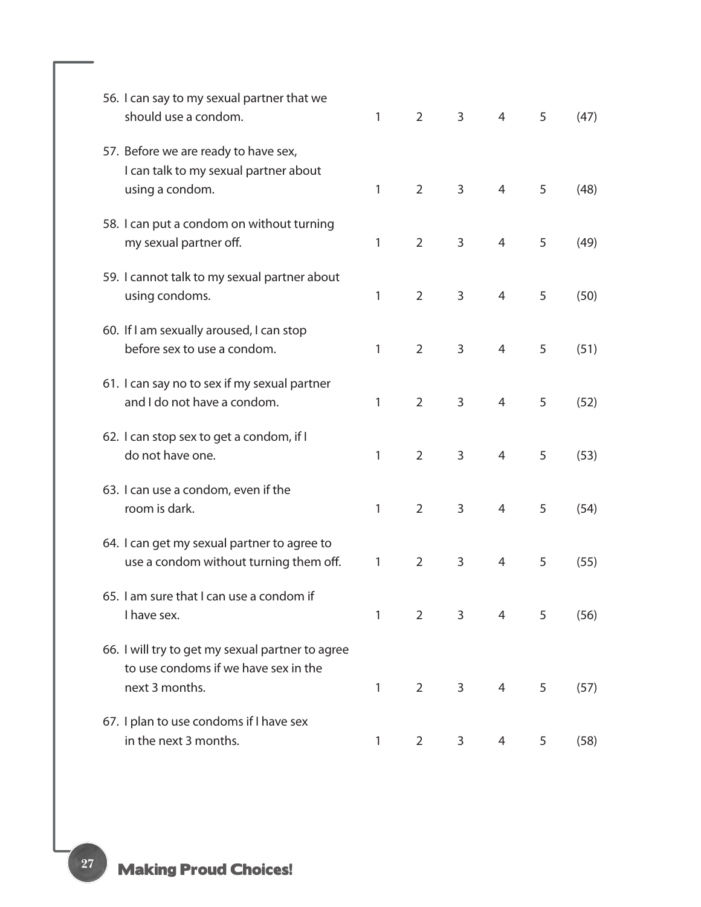| 56. I can say to my sexual partner that we<br>should use a condom.                                         | 1 | $\overline{2}$ | 3 | 4              | 5 | (47) |
|------------------------------------------------------------------------------------------------------------|---|----------------|---|----------------|---|------|
| 57. Before we are ready to have sex,<br>I can talk to my sexual partner about<br>using a condom.           | 1 | $\overline{2}$ | 3 | 4              | 5 | (48) |
| 58. I can put a condom on without turning<br>my sexual partner off.                                        | 1 | $\overline{2}$ | 3 | $\overline{4}$ | 5 | (49) |
| 59. I cannot talk to my sexual partner about<br>using condoms.                                             | 1 | $\overline{2}$ | 3 | $\overline{4}$ | 5 | (50) |
| 60. If I am sexually aroused, I can stop<br>before sex to use a condom.                                    | 1 | $\overline{2}$ | 3 | 4              | 5 | (51) |
| 61. I can say no to sex if my sexual partner<br>and I do not have a condom.                                | 1 | $\overline{2}$ | 3 | 4              | 5 | (52) |
| 62. I can stop sex to get a condom, if I<br>do not have one.                                               | 1 | $\overline{2}$ | 3 | 4              | 5 | (53) |
| 63. I can use a condom, even if the<br>room is dark.                                                       | 1 | $\overline{2}$ | 3 | $\overline{4}$ | 5 | (54) |
| 64. I can get my sexual partner to agree to<br>use a condom without turning them off.                      | 1 | $\overline{2}$ | 3 | 4              | 5 | (55) |
| 65. I am sure that I can use a condom if<br>I have sex.                                                    | 1 | 2              | 3 | 4              | 5 | (56) |
| 66. I will try to get my sexual partner to agree<br>to use condoms if we have sex in the<br>next 3 months. | 1 | $\overline{2}$ | 3 | 4              | 5 | (57) |
| 67. I plan to use condoms if I have sex<br>in the next 3 months.                                           | 1 | $\overline{2}$ | 3 | 4              | 5 | (58) |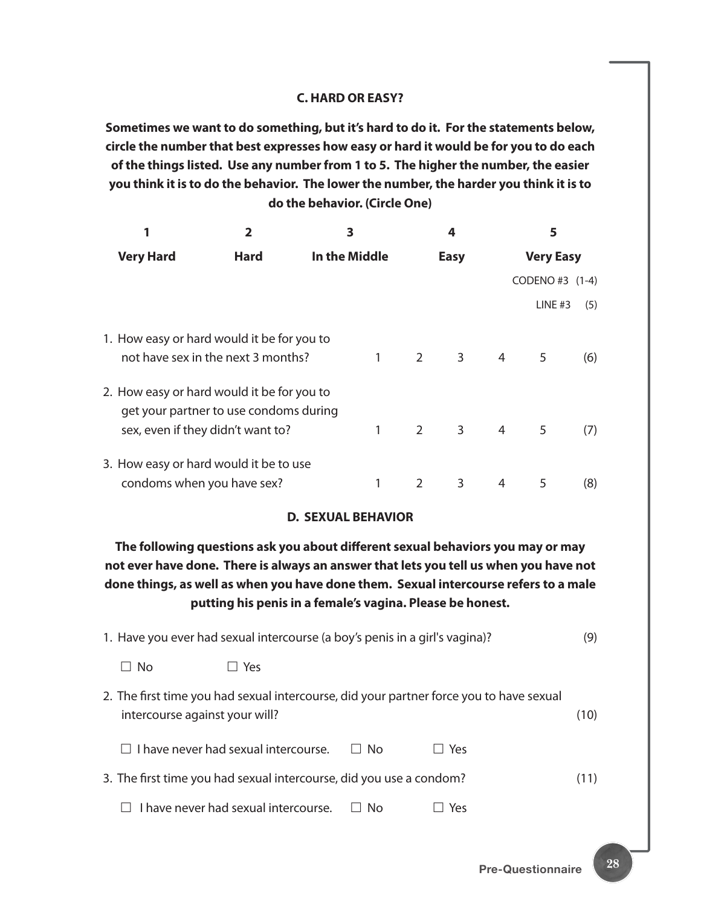#### **C. HARD OR EASY?**

**Sometimes we want to do something, but it's hard to do it. For the statements below, circle the number that best expresses how easy or hard it would be for you to do each of the things listed. Use any number from 1 to 5. The higher the number, the easier you think it is to do the behavior. The lower the number, the harder you think it is to do the behavior. (Circle One)**

|                                                                                                                           |             | 3             |             | 4              |   | 5                |     |
|---------------------------------------------------------------------------------------------------------------------------|-------------|---------------|-------------|----------------|---|------------------|-----|
| <b>Very Hard</b>                                                                                                          | <b>Hard</b> | In the Middle |             | <b>Easy</b>    |   | <b>Very Easy</b> |     |
|                                                                                                                           |             |               |             |                |   | CODENO#3 (1-4)   |     |
|                                                                                                                           |             |               |             |                |   | LINE $#3$        | (5) |
| 1. How easy or hard would it be for you to<br>not have sex in the next 3 months?                                          |             | 1             | $2^{\circ}$ | 3 <sup>7</sup> | 4 | 5                | (6) |
| 2. How easy or hard would it be for you to<br>get your partner to use condoms during<br>sex, even if they didn't want to? |             | 1             | $2^{\circ}$ | 3              | 4 | 5                | (7) |
| 3. How easy or hard would it be to use<br>condoms when you have sex?                                                      |             |               |             | 3              | 4 | 5                | (8) |

#### **D. SEXUAL BEHAVIOR**

**The following questions ask you about different sexual behaviors you may or may not ever have done. There is always an answer that lets you tell us when you have not done things, as well as when you have done them. Sexual intercourse refers to a male putting his penis in a female's vagina. Please be honest.**

|                                | 1. Have you ever had sexual intercourse (a boy's penis in a girl's vagina)? |           |                                                                                         | (9)  |
|--------------------------------|-----------------------------------------------------------------------------|-----------|-----------------------------------------------------------------------------------------|------|
| ⊟ No                           | Yes                                                                         |           |                                                                                         |      |
| intercourse against your will? |                                                                             |           | 2. The first time you had sexual intercourse, did your partner force you to have sexual | (10) |
|                                | $\Box$ I have never had sexual intercourse.                                 | $\Box$ No | $\Box$ Yes                                                                              |      |
|                                | 3. The first time you had sexual intercourse, did you use a condom?         |           |                                                                                         | (11) |
|                                | I have never had sexual intercourse.                                        | N٥        | Yes                                                                                     |      |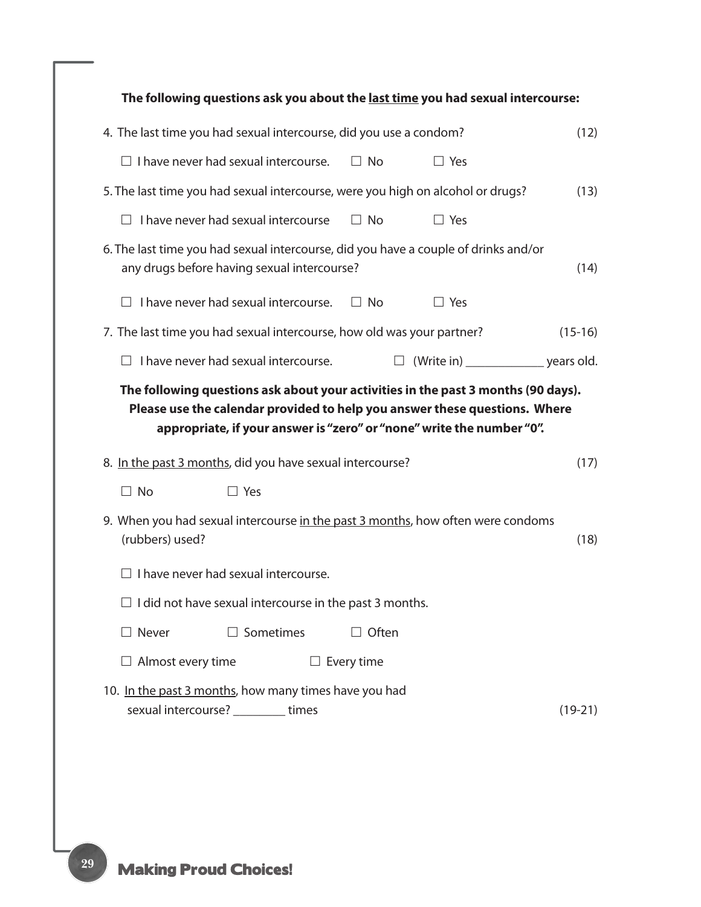|                                                                                 | The following questions ask you about the last time you had sexual intercourse:                                                                                 |
|---------------------------------------------------------------------------------|-----------------------------------------------------------------------------------------------------------------------------------------------------------------|
| 4. The last time you had sexual intercourse, did you use a condom?              | (12)                                                                                                                                                            |
| $\Box$ I have never had sexual intercourse.                                     | $\Box$ No<br>$\Box$ Yes                                                                                                                                         |
| 5. The last time you had sexual intercourse, were you high on alcohol or drugs? | (13)                                                                                                                                                            |
| $\Box$ I have never had sexual intercourse                                      | $\Box$ No<br>$\Box$ Yes                                                                                                                                         |
| any drugs before having sexual intercourse?                                     | 6. The last time you had sexual intercourse, did you have a couple of drinks and/or<br>(14)                                                                     |
| I have never had sexual intercourse.                                            | $\Box$ No<br>$\Box$ Yes                                                                                                                                         |
| 7. The last time you had sexual intercourse, how old was your partner?          | $(15-16)$                                                                                                                                                       |
| I have never had sexual intercourse.                                            |                                                                                                                                                                 |
|                                                                                 | The following questions ask about your activities in the past 3 months (90 days).<br>Please use the calendar provided to help you answer these questions. Where |
|                                                                                 | appropriate, if your answer is "zero" or "none" write the number "0".                                                                                           |
| 8. In the past 3 months, did you have sexual intercourse?                       | (17)                                                                                                                                                            |
| $\Box$ No<br>$\Box$ Yes                                                         |                                                                                                                                                                 |
| (rubbers) used?                                                                 | 9. When you had sexual intercourse in the past 3 months, how often were condoms<br>(18)                                                                         |
| I have never had sexual intercourse.                                            |                                                                                                                                                                 |
| $\Box$ I did not have sexual intercourse in the past 3 months.                  |                                                                                                                                                                 |
| $\Box$ Never<br>$\Box$ Sometimes                                                | $\Box$ Often                                                                                                                                                    |
| $\Box$ Almost every time                                                        | $\Box$ Every time                                                                                                                                               |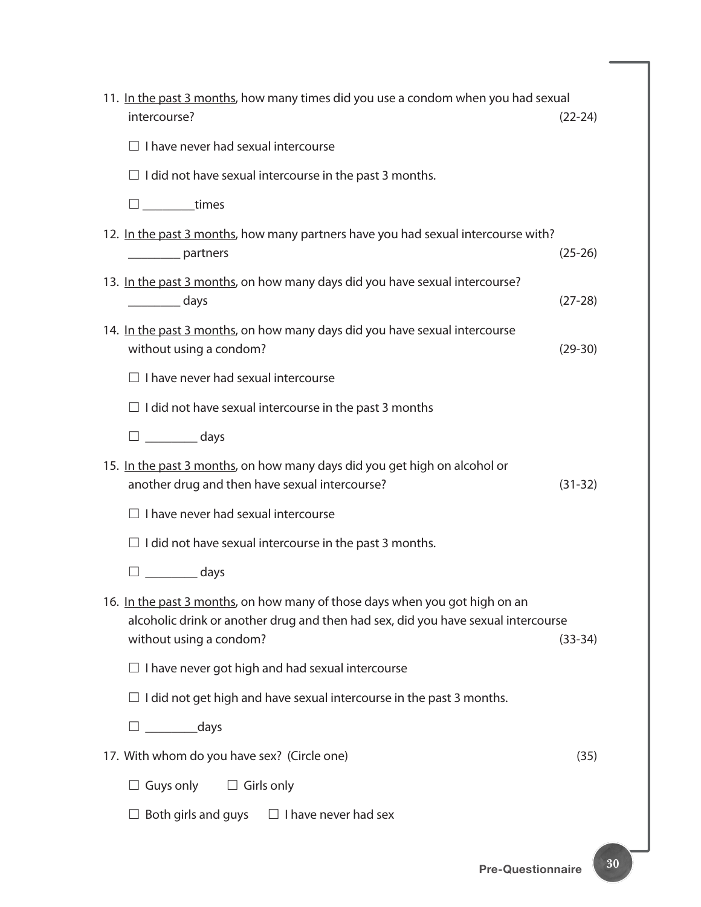| 11. In the past 3 months, how many times did you use a condom when you had sexual<br>intercourse?                                                                                           | $(22-24)$ |
|---------------------------------------------------------------------------------------------------------------------------------------------------------------------------------------------|-----------|
| $\Box$ I have never had sexual intercourse                                                                                                                                                  |           |
| $\Box$ I did not have sexual intercourse in the past 3 months.                                                                                                                              |           |
| $\square$ __________times                                                                                                                                                                   |           |
| 12. In the past 3 months, how many partners have you had sexual intercourse with?<br>__________ partners                                                                                    | $(25-26)$ |
| 13. In the past 3 months, on how many days did you have sexual intercourse?<br>days                                                                                                         | $(27-28)$ |
| 14. In the past 3 months, on how many days did you have sexual intercourse<br>without using a condom?                                                                                       | $(29-30)$ |
| $\Box$ I have never had sexual intercourse                                                                                                                                                  |           |
| $\Box$ I did not have sexual intercourse in the past 3 months                                                                                                                               |           |
| $\square$ __________ days                                                                                                                                                                   |           |
| 15. In the past 3 months, on how many days did you get high on alcohol or<br>another drug and then have sexual intercourse?                                                                 | $(31-32)$ |
| $\Box$ I have never had sexual intercourse                                                                                                                                                  |           |
| $\Box$ I did not have sexual intercourse in the past 3 months.                                                                                                                              |           |
| $\square$ __________ days                                                                                                                                                                   |           |
| 16. In the past 3 months, on how many of those days when you got high on an<br>alcoholic drink or another drug and then had sex, did you have sexual intercourse<br>without using a condom? | $(33-34)$ |
| $\Box$ I have never got high and had sexual intercourse                                                                                                                                     |           |
| $\Box$ I did not get high and have sexual intercourse in the past 3 months.                                                                                                                 |           |
| $\Box$ _____________days                                                                                                                                                                    |           |
| 17. With whom do you have sex? (Circle one)                                                                                                                                                 | (35)      |
| $\Box$ Guys only<br>$\Box$ Girls only                                                                                                                                                       |           |
| Both girls and guys $\square$ I have never had sex                                                                                                                                          |           |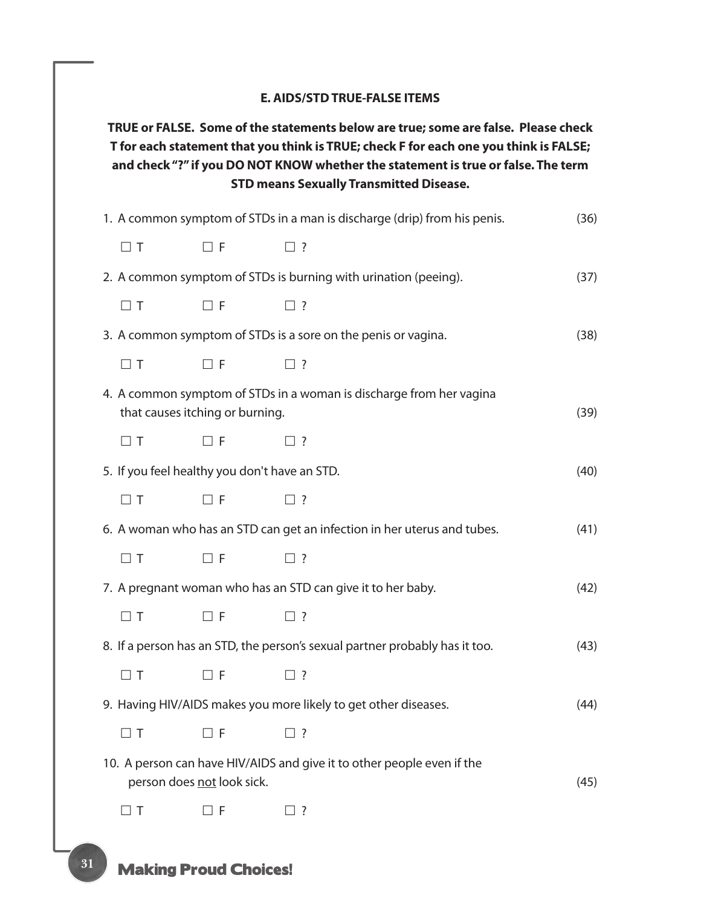| 1. A common symptom of STDs in a man is discharge (drip) from his penis.<br>$\Box$ T<br>$\Box$ F<br>$\Box$ ?<br>2. A common symptom of STDs is burning with urination (peeing).<br>$\Box$ T<br>$\Box$ F<br>$\square$ ?<br>3. A common symptom of STDs is a sore on the penis or vagina.<br>$\Box$ T<br>$\Box$ F<br>$\Box$ ?<br>4. A common symptom of STDs in a woman is discharge from her vagina<br>that causes itching or burning.<br>$\Box$ T<br>$\Box$ F<br>$\Box$ ?<br>5. If you feel healthy you don't have an STD.<br>$\Box$ T<br>$\Box$ F<br>$\Box$ ?<br>6. A woman who has an STD can get an infection in her uterus and tubes.<br>$\Box$ T<br>$\Box$ F<br>$\Box$ ? | (36) |
|-------------------------------------------------------------------------------------------------------------------------------------------------------------------------------------------------------------------------------------------------------------------------------------------------------------------------------------------------------------------------------------------------------------------------------------------------------------------------------------------------------------------------------------------------------------------------------------------------------------------------------------------------------------------------------|------|
|                                                                                                                                                                                                                                                                                                                                                                                                                                                                                                                                                                                                                                                                               |      |
|                                                                                                                                                                                                                                                                                                                                                                                                                                                                                                                                                                                                                                                                               |      |
|                                                                                                                                                                                                                                                                                                                                                                                                                                                                                                                                                                                                                                                                               | (37) |
|                                                                                                                                                                                                                                                                                                                                                                                                                                                                                                                                                                                                                                                                               |      |
|                                                                                                                                                                                                                                                                                                                                                                                                                                                                                                                                                                                                                                                                               | (38) |
|                                                                                                                                                                                                                                                                                                                                                                                                                                                                                                                                                                                                                                                                               |      |
|                                                                                                                                                                                                                                                                                                                                                                                                                                                                                                                                                                                                                                                                               | (39) |
|                                                                                                                                                                                                                                                                                                                                                                                                                                                                                                                                                                                                                                                                               |      |
|                                                                                                                                                                                                                                                                                                                                                                                                                                                                                                                                                                                                                                                                               | (40) |
|                                                                                                                                                                                                                                                                                                                                                                                                                                                                                                                                                                                                                                                                               |      |
|                                                                                                                                                                                                                                                                                                                                                                                                                                                                                                                                                                                                                                                                               | (41) |
|                                                                                                                                                                                                                                                                                                                                                                                                                                                                                                                                                                                                                                                                               |      |
| 7. A pregnant woman who has an STD can give it to her baby.                                                                                                                                                                                                                                                                                                                                                                                                                                                                                                                                                                                                                   | (42) |
| $\Box$ F<br>$\Box$ T<br>$\square$ ?                                                                                                                                                                                                                                                                                                                                                                                                                                                                                                                                                                                                                                           |      |
| 8. If a person has an STD, the person's sexual partner probably has it too.                                                                                                                                                                                                                                                                                                                                                                                                                                                                                                                                                                                                   | (43) |
| $\Box$ T<br>$\Box$ F<br>$\square$ ?                                                                                                                                                                                                                                                                                                                                                                                                                                                                                                                                                                                                                                           |      |
| 9. Having HIV/AIDS makes you more likely to get other diseases.                                                                                                                                                                                                                                                                                                                                                                                                                                                                                                                                                                                                               | (44) |
| $\Box$ F<br>$\Box$ T<br>$\Box$ ?                                                                                                                                                                                                                                                                                                                                                                                                                                                                                                                                                                                                                                              |      |
| 10. A person can have HIV/AIDS and give it to other people even if the<br>person does not look sick.                                                                                                                                                                                                                                                                                                                                                                                                                                                                                                                                                                          | (45) |
| $\Box$ T<br>$\Box$ F<br>? [                                                                                                                                                                                                                                                                                                                                                                                                                                                                                                                                                                                                                                                   |      |

# **Making Proud Choices!**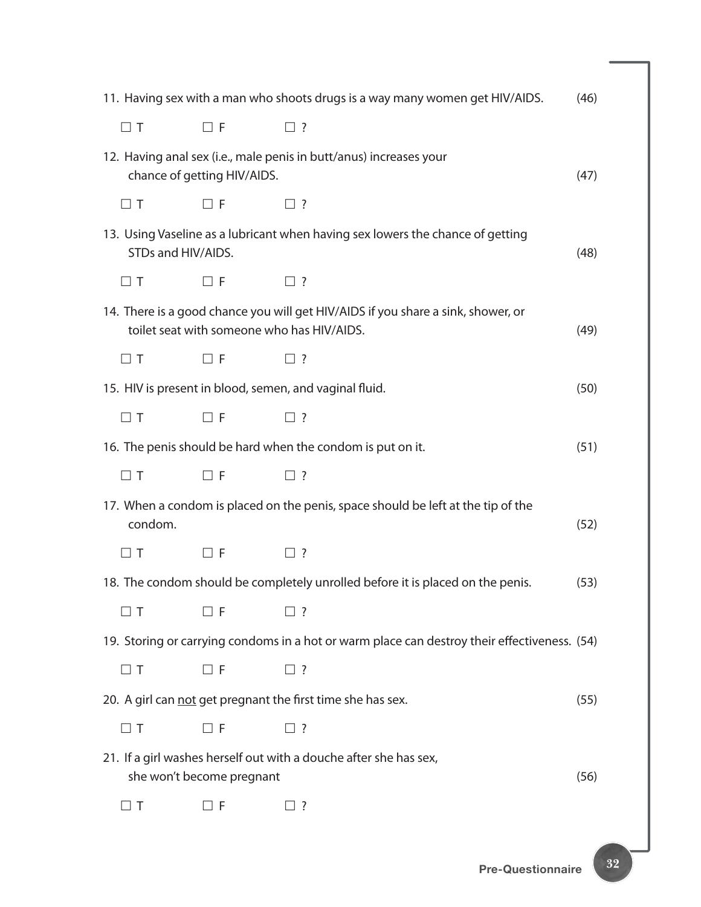|                    |                             | 11. Having sex with a man who shoots drugs is a way many women get HIV/AIDS.                                                   | (46) |
|--------------------|-----------------------------|--------------------------------------------------------------------------------------------------------------------------------|------|
| $\Box$ T           | $\Box$ F                    | $\square$ ?                                                                                                                    |      |
|                    | chance of getting HIV/AIDS. | 12. Having anal sex (i.e., male penis in butt/anus) increases your                                                             | (47) |
| $\Box$ T           | $\Box$ F                    | $\square$ ?                                                                                                                    |      |
| STDs and HIV/AIDS. |                             | 13. Using Vaseline as a lubricant when having sex lowers the chance of getting                                                 | (48) |
| $\Box$ T           | $\Box$ F                    | $\square$ ?                                                                                                                    |      |
|                    |                             | 14. There is a good chance you will get HIV/AIDS if you share a sink, shower, or<br>toilet seat with someone who has HIV/AIDS. | (49) |
| $\Box$ T           | $\Box$ F                    | $\square$ ?                                                                                                                    |      |
|                    |                             | 15. HIV is present in blood, semen, and vaginal fluid.                                                                         | (50) |
| $\Box$ T           | $\Box$ F                    | $\square$ ?                                                                                                                    |      |
|                    |                             | 16. The penis should be hard when the condom is put on it.                                                                     | (51) |
| $\Box$ T           | $\Box$ F                    | $\square$ ?                                                                                                                    |      |
| condom.            |                             | 17. When a condom is placed on the penis, space should be left at the tip of the                                               | (52) |
| $\Box$ T           | $\Box$ F                    | $\Box$ ?                                                                                                                       |      |
|                    |                             | 18. The condom should be completely unrolled before it is placed on the penis.                                                 | (53) |
| $\Box$ T           | $\Box$ F                    | $\Box$ ?                                                                                                                       |      |
|                    |                             | 19. Storing or carrying condoms in a hot or warm place can destroy their effectiveness. (54)                                   |      |
| $\Box$ T           | $\Box$ F                    | $\square$ ?                                                                                                                    |      |
|                    |                             | 20. A girl can not get pregnant the first time she has sex.                                                                    | (55) |
| $\Box$ T           | $\Box$ F                    | $\Box$ ?                                                                                                                       |      |
|                    | she won't become pregnant   | 21. If a girl washes herself out with a douche after she has sex,                                                              | (56) |
| $\Box$ T           | $\Box$ F                    | $\Box$ ?                                                                                                                       |      |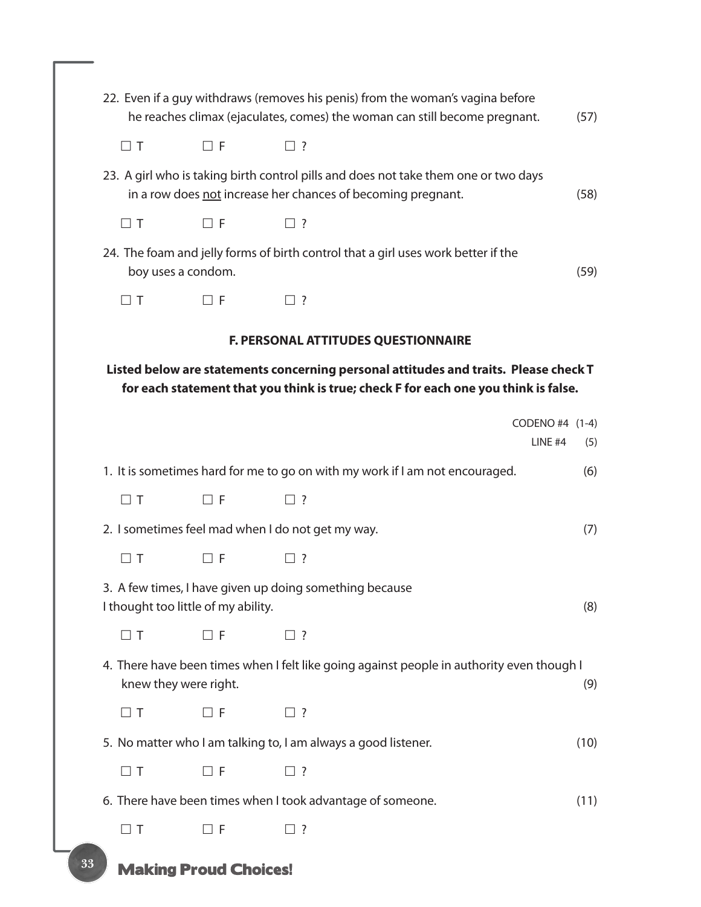|          |                                     | 22. Even if a guy withdraws (removes his penis) from the woman's vagina before<br>he reaches climax (ejaculates, comes) the woman can still become pregnant.                | (57)                              |
|----------|-------------------------------------|-----------------------------------------------------------------------------------------------------------------------------------------------------------------------------|-----------------------------------|
| $\Box$ T | $\Box$ F                            | $\Box$ ?                                                                                                                                                                    |                                   |
|          |                                     | 23. A girl who is taking birth control pills and does not take them one or two days<br>in a row does not increase her chances of becoming pregnant.                         | (58)                              |
| $\Box$ T | $\Box$ F                            | $\Box$ ?                                                                                                                                                                    |                                   |
|          | boy uses a condom.                  | 24. The foam and jelly forms of birth control that a girl uses work better if the                                                                                           | (59)                              |
| $\Box$ T | $\square$ F                         | $\Box$ ?                                                                                                                                                                    |                                   |
|          |                                     | F. PERSONAL ATTITUDES QUESTIONNAIRE                                                                                                                                         |                                   |
|          |                                     | Listed below are statements concerning personal attitudes and traits. Please check T<br>for each statement that you think is true; check F for each one you think is false. |                                   |
|          |                                     |                                                                                                                                                                             | CODENO #4 (1-4)<br>LINE #4<br>(5) |
|          |                                     | 1. It is sometimes hard for me to go on with my work if I am not encouraged.                                                                                                | (6)                               |
| $\Box$ T | $\Box$ F                            | $\Box$ ?                                                                                                                                                                    |                                   |
|          |                                     | 2. I sometimes feel mad when I do not get my way.                                                                                                                           | (7)                               |
| $\Box$ T | $\Box$ F                            | $\Box$ ?                                                                                                                                                                    |                                   |
|          | I thought too little of my ability. | 3. A few times, I have given up doing something because                                                                                                                     | (8)                               |
| $\Box$ T | $\Box$ F                            | $\square$ ?                                                                                                                                                                 |                                   |
|          | knew they were right.               | 4. There have been times when I felt like going against people in authority even though I                                                                                   | (9)                               |
| $\Box$ T | コF                                  | $\Box$ ?                                                                                                                                                                    |                                   |
|          |                                     | 5. No matter who I am talking to, I am always a good listener.                                                                                                              | (10)                              |
| $\Box$ T | $\Box$ F                            | $\Box$ ?                                                                                                                                                                    |                                   |
|          |                                     | 6. There have been times when I took advantage of someone.                                                                                                                  | (11)                              |
| $\Box$ T | $\Box$ F                            | ]?                                                                                                                                                                          |                                   |
|          |                                     |                                                                                                                                                                             |                                   |

**Making Proud Choices!**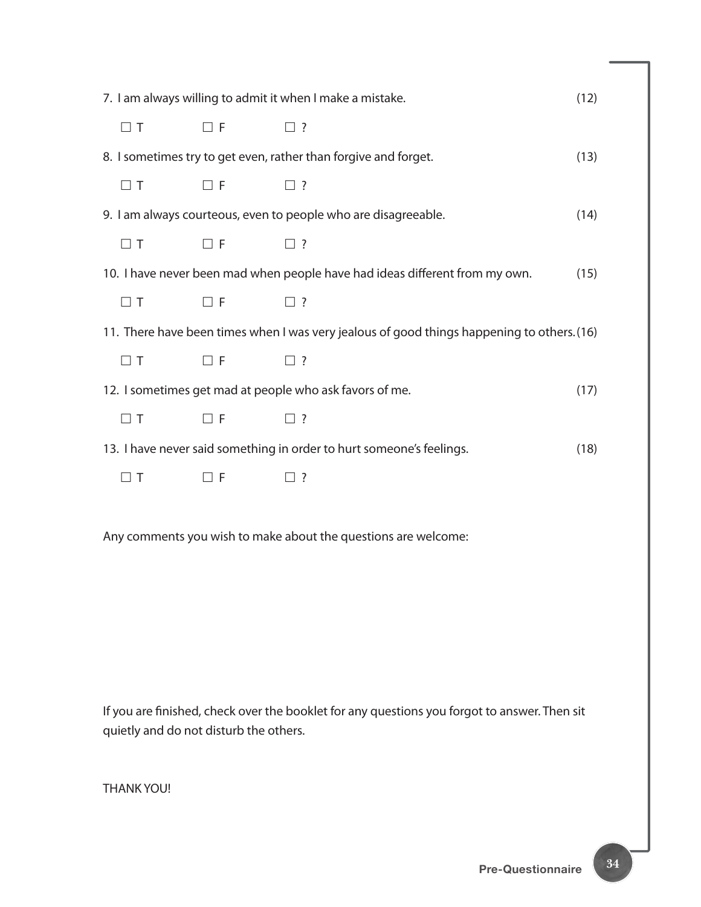| 7. I am always willing to admit it when I make a mistake.<br>(12) |             |                                                                                            |      |  |
|-------------------------------------------------------------------|-------------|--------------------------------------------------------------------------------------------|------|--|
| $\Box$ T                                                          | $\Box$ F    | $\Box$ ?                                                                                   |      |  |
|                                                                   |             | 8. I sometimes try to get even, rather than forgive and forget.                            | (13) |  |
| $\Box$ T                                                          | $\square$ F | $\Box$ ?                                                                                   |      |  |
|                                                                   |             | 9. I am always courteous, even to people who are disagreeable.                             | (14) |  |
| $\Box$ T                                                          | $\Box$ F    | $\Box$ ?                                                                                   |      |  |
|                                                                   |             | 10. I have never been mad when people have had ideas different from my own.                | (15) |  |
| $\Box$ T                                                          | $\Box$ F    | $\Box$ ?                                                                                   |      |  |
|                                                                   |             | 11. There have been times when I was very jealous of good things happening to others. (16) |      |  |
| $\Box$ T                                                          | $\Box$ F    | $\square$ ?                                                                                |      |  |
|                                                                   |             | 12. I sometimes get mad at people who ask favors of me.                                    | (17) |  |
| $\Box$ T                                                          | $\Box$ F    | $\Box$ ?                                                                                   |      |  |
|                                                                   |             | 13. I have never said something in order to hurt someone's feelings.                       | (18) |  |
| $\Box$ T                                                          | $\Box$ F    | $\Box$ ?                                                                                   |      |  |
|                                                                   |             |                                                                                            |      |  |

Any comments you wish to make about the questions are welcome:

If you are finished, check over the booklet for any questions you forgot to answer. Then sit quietly and do not disturb the others.

THANK YOU!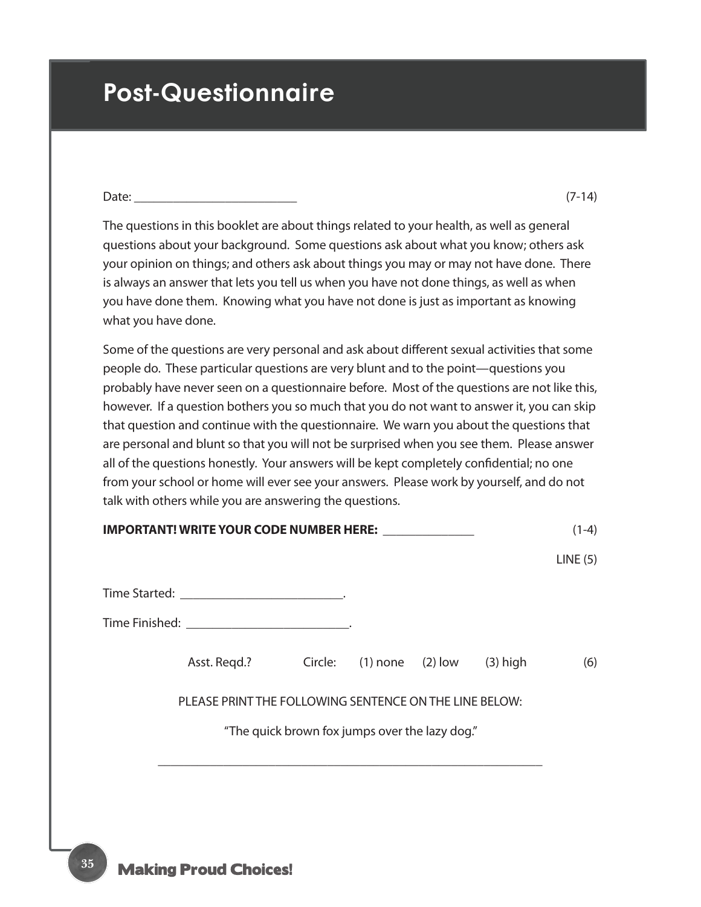# **Post-Questionnaire**

| $\neg$ -+<br>⊃dl⊬ |  |
|-------------------|--|
|                   |  |

The questions in this booklet are about things related to your health, as well as general questions about your background. Some questions ask about what you know; others ask your opinion on things; and others ask about things you may or may not have done. There is always an answer that lets you tell us when you have not done things, as well as when you have done them. Knowing what you have not done is just as important as knowing what you have done.

Some of the questions are very personal and ask about different sexual activities that some people do. These particular questions are very blunt and to the point—questions you probably have never seen on a questionnaire before. Most of the questions are not like this, however. If a question bothers you so much that you do not want to answer it, you can skip that question and continue with the questionnaire. We warn you about the questions that are personal and blunt so that you will not be surprised when you see them. Please answer all of the questions honestly. Your answers will be kept completely confidential; no one from your school or home will ever see your answers. Please work by yourself, and do not talk with others while you are answering the questions.

| IMPORTANT! WRITE YOUR CODE NUMBER HERE: ______________ |                                                |  | $(1-4)$ |
|--------------------------------------------------------|------------------------------------------------|--|---------|
|                                                        |                                                |  | LINE(5) |
| Time Started: ______________________________.          |                                                |  |         |
|                                                        |                                                |  |         |
| Asst. Reqd.? Circle: (1) none (2) low (3) high         |                                                |  | (6)     |
| PLEASE PRINT THE FOLLOWING SENTENCE ON THE LINE BELOW: |                                                |  |         |
|                                                        | "The quick brown fox jumps over the lazy dog." |  |         |
|                                                        |                                                |  |         |
|                                                        |                                                |  |         |

**35**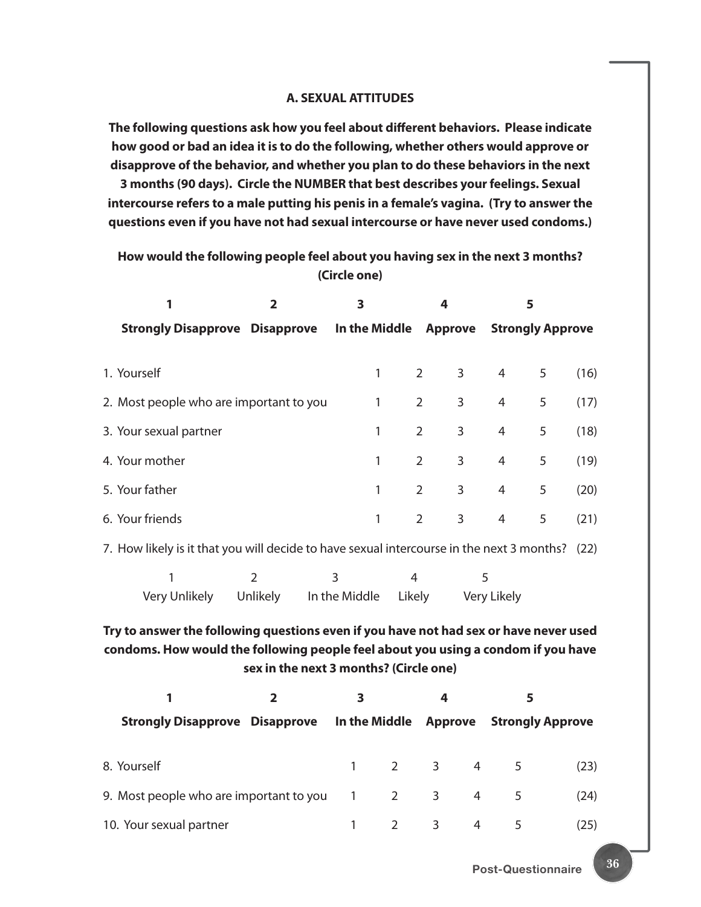#### **A. SEXUAL ATTITUDES**

**The following questions ask how you feel about different behaviors. Please indicate how good or bad an idea it is to do the following, whether others would approve or disapprove of the behavior, and whether you plan to do these behaviors in the next** 

**3 months (90 days). Circle the NUMBER that best describes your feelings. Sexual intercourse refers to a male putting his penis in a female's vagina. (Try to answer the questions even if you have not had sexual intercourse or have never used condoms.)**

#### **How would the following people feel about you having sex in the next 3 months? (Circle one)**

| 1<br>$\overline{\mathbf{2}}$                                                                                                                                                                                         |                                                                                           | 3              |               | 4              |                | 5              |                         |      |
|----------------------------------------------------------------------------------------------------------------------------------------------------------------------------------------------------------------------|-------------------------------------------------------------------------------------------|----------------|---------------|----------------|----------------|----------------|-------------------------|------|
|                                                                                                                                                                                                                      | <b>Strongly Disapprove Disapprove</b>                                                     |                | In the Middle |                | <b>Approve</b> |                | <b>Strongly Approve</b> |      |
|                                                                                                                                                                                                                      | 1. Yourself                                                                               |                | 1             | $\overline{2}$ | 3              | $\overline{4}$ | 5                       | (16) |
|                                                                                                                                                                                                                      | 2. Most people who are important to you                                                   |                | 1             | $\overline{2}$ | 3              | $\overline{4}$ | 5                       | (17) |
|                                                                                                                                                                                                                      | 3. Your sexual partner                                                                    |                | 1             | $\overline{2}$ | 3              | 4              | 5                       | (18) |
|                                                                                                                                                                                                                      | 4. Your mother                                                                            |                | 1             | $\overline{2}$ | 3              | 4              | 5                       | (19) |
|                                                                                                                                                                                                                      | 5. Your father                                                                            |                | 1             | $\overline{2}$ | 3              | 4              | 5                       | (20) |
|                                                                                                                                                                                                                      | 6. Your friends                                                                           |                | $\mathbf{1}$  | $\overline{2}$ | 3              | 4              | 5                       | (21) |
|                                                                                                                                                                                                                      | 7. How likely is it that you will decide to have sexual intercourse in the next 3 months? |                |               |                |                |                |                         | (22) |
|                                                                                                                                                                                                                      | 1                                                                                         | $\overline{2}$ | 3             | 4              |                | 5              |                         |      |
|                                                                                                                                                                                                                      | Very Unlikely                                                                             | Unlikely       | In the Middle | Likely         |                | Very Likely    |                         |      |
| Try to answer the following questions even if you have not had sex or have never used<br>condoms. How would the following people feel about you using a condom if you have<br>sex in the next 3 months? (Circle one) |                                                                                           |                |               |                |                |                |                         |      |
|                                                                                                                                                                                                                      | 1                                                                                         | $\overline{2}$ | 3             |                | 4              |                | 5                       |      |
|                                                                                                                                                                                                                      | <b>Strongly Disapprove Disapprove</b>                                                     |                | In the Middle |                | <b>Approve</b> |                | <b>Strongly Approve</b> |      |
|                                                                                                                                                                                                                      | 8. Yourself                                                                               |                | $\mathbf{1}$  | $\overline{2}$ | 3              | 4              | 5                       | (23) |
|                                                                                                                                                                                                                      | 9. Most people who are important to you                                                   |                | $\mathbf{1}$  | $\overline{2}$ | 3              | $\overline{4}$ | 5                       | (24) |
|                                                                                                                                                                                                                      | 10. Your sexual partner                                                                   |                | 1             | $\overline{2}$ | 3              | 4              | 5                       | (25) |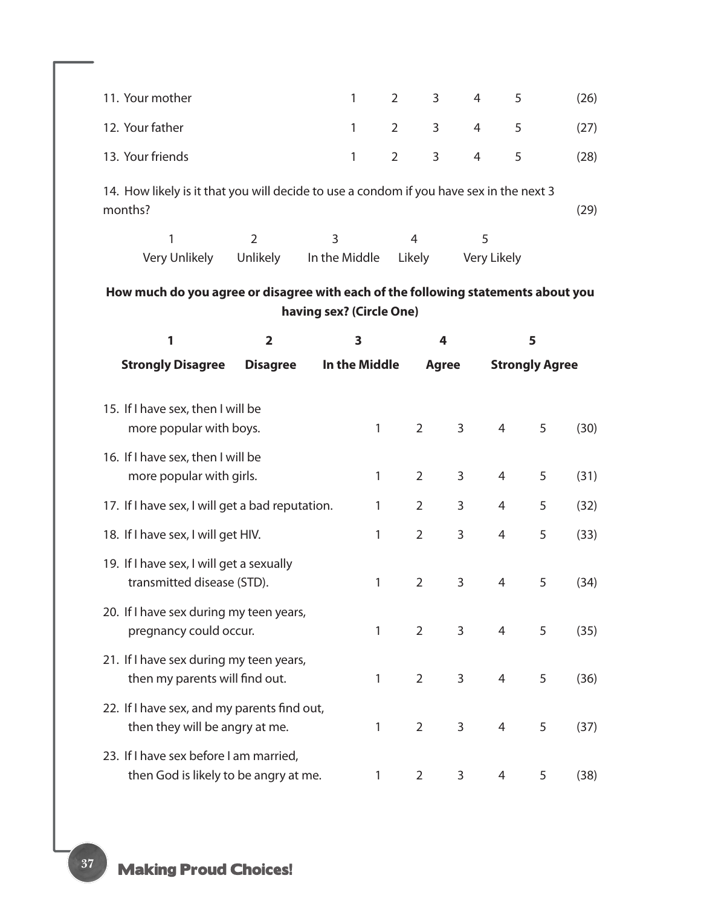| 11. Your mother                                                                                    |                         | $\mathbf{1}$             | $\overline{2}$ | 3              | 4              | 5                     |      | (26) |
|----------------------------------------------------------------------------------------------------|-------------------------|--------------------------|----------------|----------------|----------------|-----------------------|------|------|
| 12. Your father                                                                                    |                         | $\mathbf{1}$             | $\overline{2}$ | $\mathbf{3}$   | $\overline{4}$ | 5                     |      | (27) |
| 13. Your friends                                                                                   |                         | $\mathbf{1}$             | $\overline{2}$ | 3              | 4              | 5                     |      | (28) |
| 14. How likely is it that you will decide to use a condom if you have sex in the next 3<br>months? |                         |                          |                |                |                |                       |      | (29) |
| 1                                                                                                  | $\overline{2}$          | 3                        | $\overline{4}$ |                | 5              |                       |      |      |
| Very Unlikely                                                                                      | Unlikely                | In the Middle            | Likely         |                |                | Very Likely           |      |      |
| How much do you agree or disagree with each of the following statements about you                  |                         | having sex? (Circle One) |                |                |                |                       |      |      |
| 1                                                                                                  | $\overline{\mathbf{2}}$ | 3                        |                | 4              |                |                       | 5    |      |
| <b>Strongly Disagree</b>                                                                           | <b>Disagree</b>         | In the Middle            |                | <b>Agree</b>   |                | <b>Strongly Agree</b> |      |      |
| 15. If I have sex, then I will be<br>more popular with boys.                                       |                         | 1                        |                | $\overline{2}$ | 3              | 4                     | 5    | (30) |
| 16. If I have sex, then I will be<br>more popular with girls.                                      |                         | 1                        |                | $\overline{2}$ | 3              | 4                     | 5    | (31) |
| 17. If I have sex, I will get a bad reputation.                                                    |                         | 1                        |                | $\overline{2}$ | 3              | 4                     | 5    | (32) |
| 18. If I have sex, I will get HIV.                                                                 |                         | 1                        |                | $\overline{2}$ | 3              | 4                     | 5    | (33) |
| 19. If I have sex, I will get a sexually<br>transmitted disease (STD).                             |                         | 1                        |                | 2              | 3              | 4                     | 5    | (34) |
| 20. If I have sex during my teen years,<br>pregnancy could occur.                                  | 1.                      |                          | $2 \quad$      | 3 <sup>7</sup> | $\overline{4}$ | 5                     | (35) |      |
| 21. If I have sex during my teen years,<br>then my parents will find out.                          |                         | 1                        |                | $\overline{2}$ | $\mathsf{3}$   | 4                     | 5    | (36) |
| 22. If I have sex, and my parents find out,<br>then they will be angry at me.                      |                         | 1                        |                | $\overline{2}$ | 3              | 4                     | 5    | (37) |
| 23. If I have sex before I am married,<br>then God is likely to be angry at me.                    |                         | 1                        |                | $\overline{2}$ | 3              | 4                     | 5    | (38) |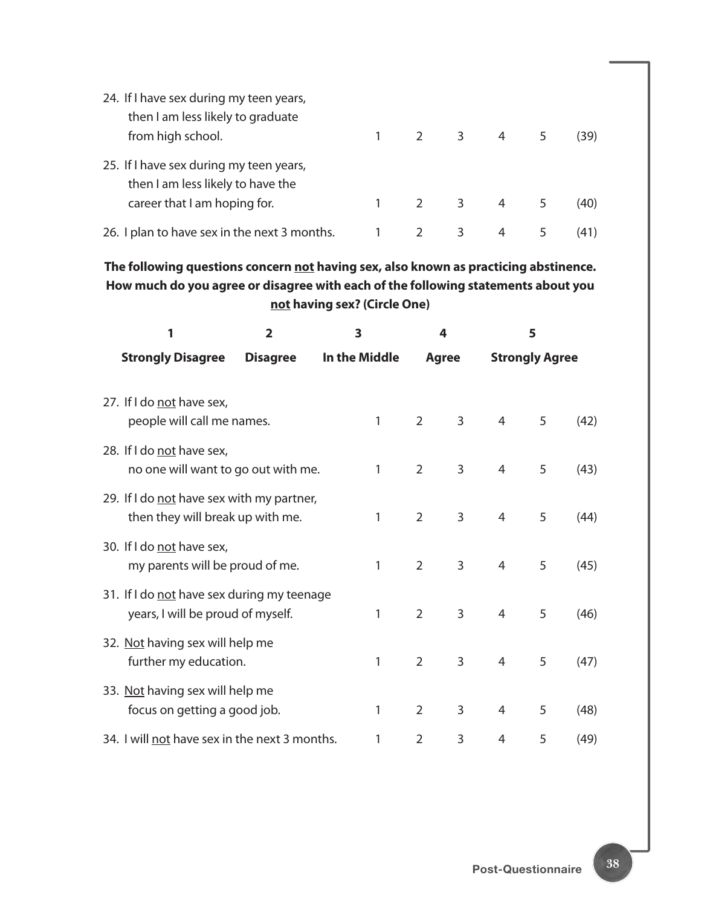| 24. If I have sex during my teen years,                                      |   |                     |       |      |
|------------------------------------------------------------------------------|---|---------------------|-------|------|
| then I am less likely to graduate                                            |   |                     |       |      |
| from high school.                                                            |   |                     | 2 3 4 | (39) |
| 25. If I have sex during my teen years,<br>then I am less likely to have the |   |                     |       |      |
| career that I am hoping for.                                                 |   | $2 \quad 3 \quad 4$ |       | (40) |
| 26. I plan to have sex in the next 3 months.                                 | 2 | 3                   | 4     | (41) |

**The following questions concern not having sex, also known as practicing abstinence. How much do you agree or disagree with each of the following statements about you not having sex? (Circle One)**

| 1                                                                               | $\overline{2}$  | 3             |   |                | 4 |                | 5                     |      |  |
|---------------------------------------------------------------------------------|-----------------|---------------|---|----------------|---|----------------|-----------------------|------|--|
| <b>Strongly Disagree</b>                                                        | <b>Disagree</b> | In the Middle |   | <b>Agree</b>   |   |                | <b>Strongly Agree</b> |      |  |
| 27. If I do not have sex,<br>people will call me names.                         |                 |               | 1 | $\overline{2}$ | 3 | 4              | 5                     | (42) |  |
| 28. If I do not have sex,<br>no one will want to go out with me.                |                 |               | 1 | 2              | 3 | 4              | 5                     | (43) |  |
| 29. If I do not have sex with my partner,<br>then they will break up with me.   |                 |               | 1 | $\overline{2}$ | 3 | $\overline{4}$ | 5                     | (44) |  |
| 30. If I do not have sex,<br>my parents will be proud of me.                    |                 |               | 1 | $\overline{2}$ | 3 | 4              | 5                     | (45) |  |
| 31. If I do not have sex during my teenage<br>years, I will be proud of myself. |                 |               | 1 | $\overline{2}$ | 3 | 4              | 5                     | (46) |  |
| 32. Not having sex will help me<br>further my education.                        |                 |               | 1 | 2              | 3 | 4              | 5                     | (47) |  |
| 33. Not having sex will help me<br>focus on getting a good job.                 |                 |               | 1 | $\overline{2}$ | 3 | 4              | 5                     | (48) |  |
| 34. I will not have sex in the next 3 months.                                   |                 |               | 1 | 2              | 3 | 4              | 5                     | (49) |  |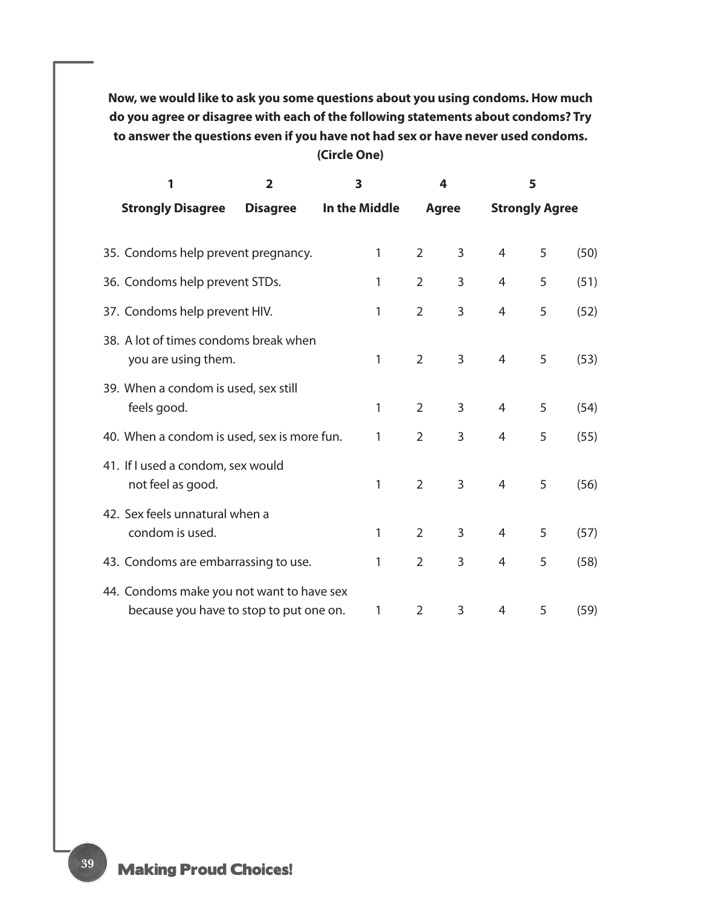**Now, we would like to ask you some questions about you using condoms. How much do you agree or disagree with each of the following statements about condoms? Try to answer the questions even if you have not had sex or have never used condoms. (Circle One)**

| 1<br>$\overline{2}$                                                                  |                 | 3             |                | 4 |                | 5                     |      |
|--------------------------------------------------------------------------------------|-----------------|---------------|----------------|---|----------------|-----------------------|------|
| <b>Strongly Disagree</b>                                                             | <b>Disagree</b> | In the Middle | <b>Agree</b>   |   |                | <b>Strongly Agree</b> |      |
|                                                                                      |                 |               |                |   |                |                       |      |
| 35. Condoms help prevent pregnancy.                                                  |                 | 1             | $\overline{2}$ | 3 | $\overline{4}$ | 5                     | (50) |
| 36. Condoms help prevent STDs.                                                       |                 | 1             | $\overline{2}$ | 3 | $\overline{4}$ | 5                     | (51) |
| 37. Condoms help prevent HIV.                                                        |                 | 1             | $\overline{2}$ | 3 | 4              | 5                     | (52) |
| 38. A lot of times condoms break when<br>you are using them.                         |                 | 1             | $\overline{2}$ | 3 | $\overline{4}$ | 5                     | (53) |
| 39. When a condom is used, sex still<br>feels good.                                  |                 | 1             | $\overline{2}$ | 3 | $\overline{4}$ | 5                     | (54) |
| 40. When a condom is used, sex is more fun.                                          |                 | 1             | $\overline{2}$ | 3 | $\overline{4}$ | 5                     | (55) |
| 41. If I used a condom, sex would<br>not feel as good.                               |                 | 1             | $\overline{2}$ | 3 | $\overline{4}$ | 5                     | (56) |
| 42. Sex feels unnatural when a<br>condom is used.                                    |                 | 1             | $\overline{2}$ | 3 | $\overline{4}$ | 5                     | (57) |
| 43. Condoms are embarrassing to use.                                                 |                 | 1             | $\overline{2}$ | 3 | $\overline{4}$ | 5                     | (58) |
| 44. Condoms make you not want to have sex<br>because you have to stop to put one on. |                 | 1             | $\overline{2}$ | 3 | 4              | 5                     | (59) |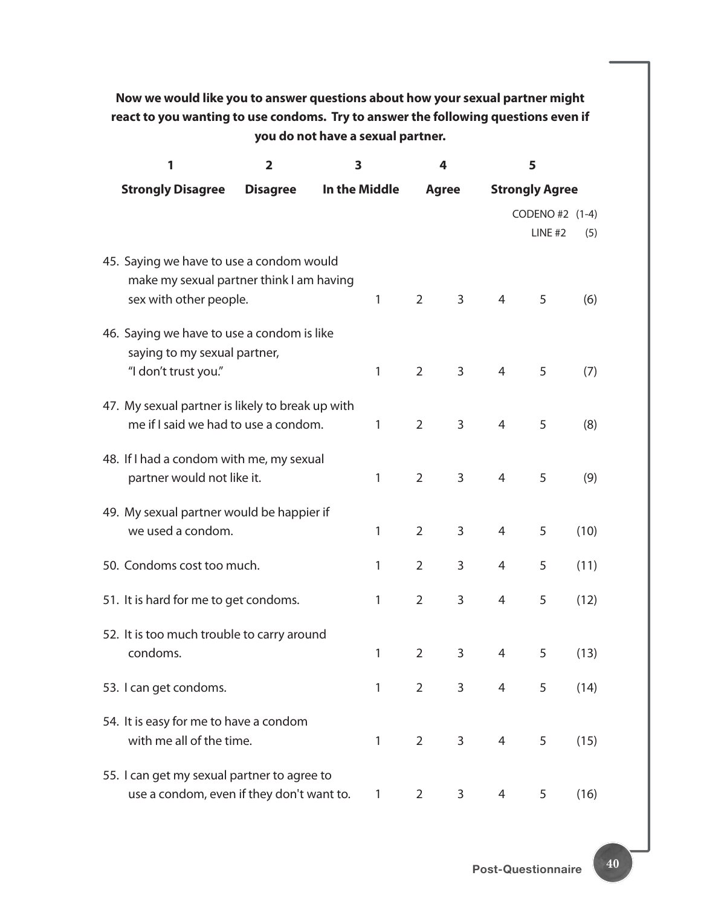### **Now we would like you to answer questions about how your sexual partner might react to you wanting to use condoms. Try to answer the following questions even if you do not have a sexual partner.**

| 1                                                                                                              | $\overline{\mathbf{2}}$ | 3             |   | 4              |              | 5              |                                   |      |
|----------------------------------------------------------------------------------------------------------------|-------------------------|---------------|---|----------------|--------------|----------------|-----------------------------------|------|
| <b>Strongly Disagree</b>                                                                                       | <b>Disagree</b>         | In the Middle |   |                | <b>Agree</b> |                | <b>Strongly Agree</b>             |      |
|                                                                                                                |                         |               |   |                |              |                | CODENO #2 (1-4)<br><b>LINE #2</b> | (5)  |
| 45. Saying we have to use a condom would<br>make my sexual partner think I am having<br>sex with other people. |                         |               | 1 | $\overline{2}$ | 3            | $\overline{4}$ | 5                                 | (6)  |
| 46. Saying we have to use a condom is like<br>saying to my sexual partner,<br>"I don't trust you."             |                         |               | 1 | $\overline{2}$ | 3            | 4              | 5                                 | (7)  |
| 47. My sexual partner is likely to break up with<br>me if I said we had to use a condom.                       |                         |               | 1 | $\overline{2}$ | 3            | 4              | 5                                 | (8)  |
| 48. If I had a condom with me, my sexual<br>partner would not like it.                                         |                         |               | 1 | $\overline{2}$ | 3            | 4              | 5                                 | (9)  |
| 49. My sexual partner would be happier if<br>we used a condom.                                                 |                         |               | 1 | $\overline{2}$ | 3            | 4              | 5                                 | (10) |
| 50. Condoms cost too much.                                                                                     |                         |               | 1 | 2              | 3            | 4              | 5                                 | (11) |
| 51. It is hard for me to get condoms.                                                                          |                         |               | 1 | $\overline{2}$ | 3            | 4              | 5                                 | (12) |
| 52. It is too much trouble to carry around<br>condoms.                                                         |                         |               | 1 | $\overline{2}$ | 3            | 4              | 5                                 | (13) |
| 53. I can get condoms.                                                                                         |                         |               | 1 | $\overline{2}$ | $\mathbf{3}$ | 4              | 5                                 | (14) |
| 54. It is easy for me to have a condom<br>with me all of the time.                                             |                         |               | 1 | $\overline{2}$ | $\mathsf{3}$ | 4              | 5                                 | (15) |
| 55. I can get my sexual partner to agree to<br>use a condom, even if they don't want to.                       |                         |               | 1 | $\overline{2}$ | 3            | 4              | 5                                 | (16) |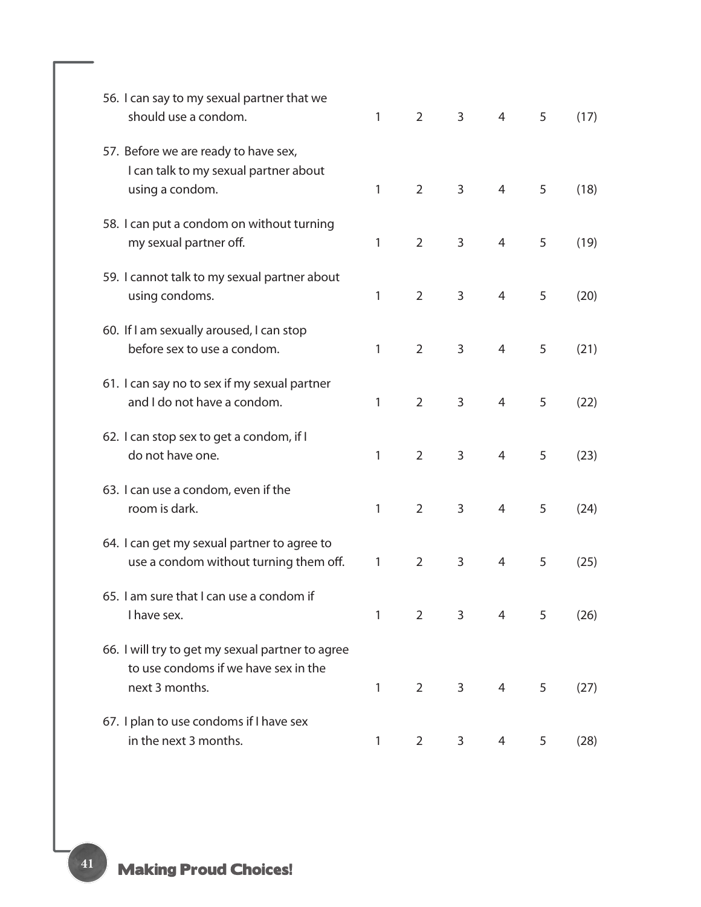| 56. I can say to my sexual partner that we<br>should use a condom.                                         | 1 | $\overline{2}$ | 3 | 4              | 5 | (17) |
|------------------------------------------------------------------------------------------------------------|---|----------------|---|----------------|---|------|
| 57. Before we are ready to have sex,<br>I can talk to my sexual partner about<br>using a condom.           | 1 | $\overline{2}$ | 3 | 4              | 5 | (18) |
| 58. I can put a condom on without turning<br>my sexual partner off.                                        | 1 | $\overline{2}$ | 3 | $\overline{4}$ | 5 | (19) |
| 59. I cannot talk to my sexual partner about<br>using condoms.                                             | 1 | $\overline{2}$ | 3 | $\overline{4}$ | 5 | (20) |
| 60. If I am sexually aroused, I can stop<br>before sex to use a condom.                                    | 1 | $\overline{2}$ | 3 | 4              | 5 | (21) |
| 61. I can say no to sex if my sexual partner<br>and I do not have a condom.                                | 1 | $\overline{2}$ | 3 | 4              | 5 | (22) |
| 62. I can stop sex to get a condom, if I<br>do not have one.                                               | 1 | $\overline{2}$ | 3 | 4              | 5 | (23) |
| 63. I can use a condom, even if the<br>room is dark.                                                       | 1 | $\overline{2}$ | 3 | $\overline{4}$ | 5 | (24) |
| 64. I can get my sexual partner to agree to<br>use a condom without turning them off.                      | 1 | $\overline{2}$ | 3 | 4              | 5 | (25) |
| 65. I am sure that I can use a condom if<br>I have sex.                                                    | 1 | 2              | 3 | 4              | 5 | (26) |
| 66. I will try to get my sexual partner to agree<br>to use condoms if we have sex in the<br>next 3 months. | 1 | $\overline{2}$ | 3 | 4              | 5 | (27) |
| 67. I plan to use condoms if I have sex<br>in the next 3 months.                                           | 1 | $\overline{2}$ | 3 | 4              | 5 | (28) |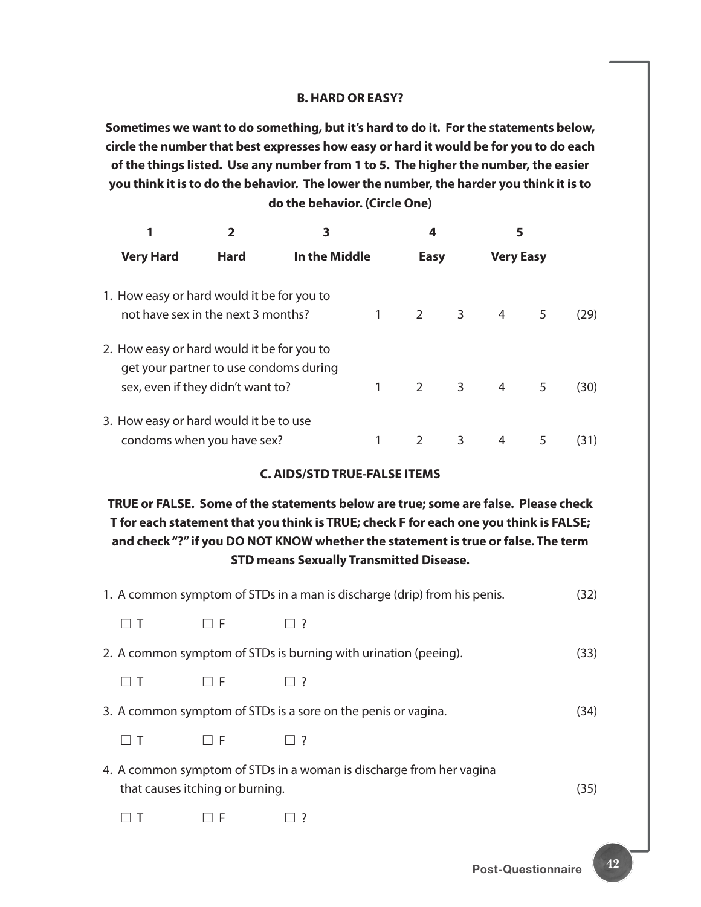#### **B. HARD OR EASY?**

**Sometimes we want to do something, but it's hard to do it. For the statements below, circle the number that best expresses how easy or hard it would be for you to do each of the things listed. Use any number from 1 to 5. The higher the number, the easier you think it is to do the behavior. The lower the number, the harder you think it is to do the behavior. (Circle One)**

|                                                                                                                           |             | 3             |  |             | 4                       |                  | 5 |      |
|---------------------------------------------------------------------------------------------------------------------------|-------------|---------------|--|-------------|-------------------------|------------------|---|------|
| <b>Very Hard</b>                                                                                                          | <b>Hard</b> | In the Middle |  | <b>Easy</b> |                         | <b>Very Easy</b> |   |      |
| 1. How easy or hard would it be for you to<br>not have sex in the next 3 months?                                          |             |               |  | $2^{\circ}$ | 3 <sup>7</sup>          | $\overline{4}$   | 5 | (29) |
| 2. How easy or hard would it be for you to<br>get your partner to use condoms during<br>sex, even if they didn't want to? |             |               |  | $2^{\circ}$ | $\overline{\mathbf{3}}$ | 4                | 5 | (30) |
| 3. How easy or hard would it be to use<br>condoms when you have sex?                                                      |             |               |  |             | 3                       | 4                | 5 | (31) |

#### **C. AIDS/STD TRUE-FALSE ITEMS**

### **TRUE or FALSE. Some of the statements below are true; some are false. Please check T for each statement that you think is TRUE; check F for each one you think is FALSE; and check "?" if you DO NOT KNOW whether the statement is true or false. The term STD means Sexually Transmitted Disease.**

|                                                                                                        |          | 1. A common symptom of STDs in a man is discharge (drip) from his penis. | (32) |  |  |
|--------------------------------------------------------------------------------------------------------|----------|--------------------------------------------------------------------------|------|--|--|
|                                                                                                        | $\Box$ F | $\vert$   ?                                                              |      |  |  |
|                                                                                                        |          | 2. A common symptom of STDs is burning with urination (peeing).          | (33) |  |  |
| $\Box$ T                                                                                               | $\Box$ F | $\Box$ ?                                                                 |      |  |  |
|                                                                                                        |          | 3. A common symptom of STDs is a sore on the penis or vagina.            | (34) |  |  |
| $\Box$ T                                                                                               | 1 I F    | $ $   ?                                                                  |      |  |  |
| 4. A common symptom of STDs in a woman is discharge from her vagina<br>that causes itching or burning. |          |                                                                          |      |  |  |
|                                                                                                        | LI F     | $\vert$ ?                                                                |      |  |  |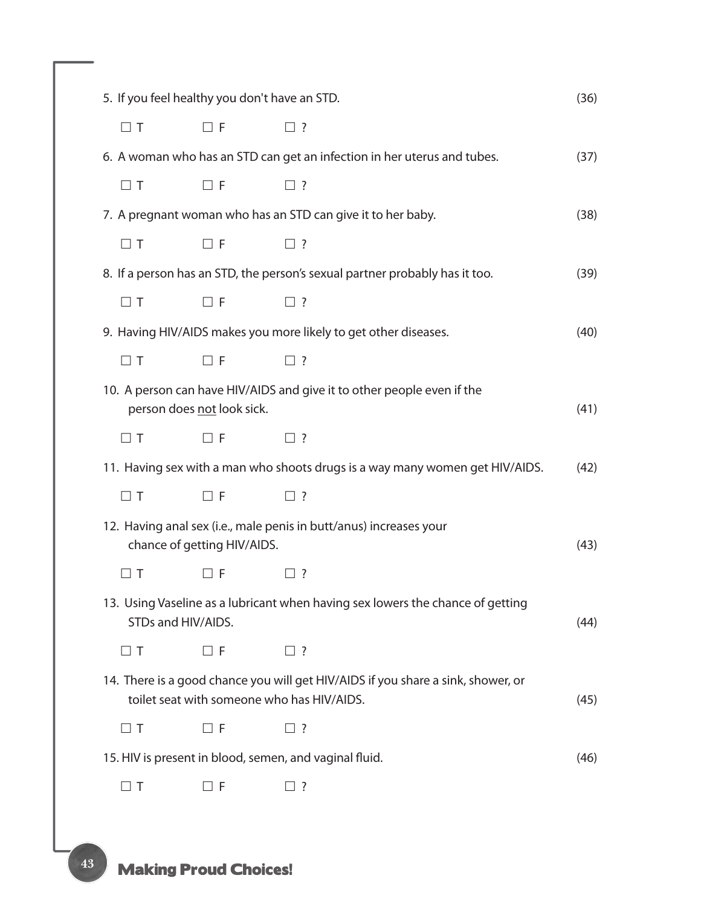|          | 5. If you feel healthy you don't have an STD.<br>(36) |                                                                                                                                |      |  |  |  |  |  |
|----------|-------------------------------------------------------|--------------------------------------------------------------------------------------------------------------------------------|------|--|--|--|--|--|
| $\Box$ T | $\Box$ F                                              | $\Box$ ?                                                                                                                       |      |  |  |  |  |  |
|          |                                                       | 6. A woman who has an STD can get an infection in her uterus and tubes.                                                        | (37) |  |  |  |  |  |
| $\Box$ T | $\Box$ F                                              | $\square$ ?                                                                                                                    |      |  |  |  |  |  |
|          |                                                       | 7. A pregnant woman who has an STD can give it to her baby.                                                                    | (38) |  |  |  |  |  |
| $\Box$ T | $\Box$ F                                              | $\square$ ?                                                                                                                    |      |  |  |  |  |  |
|          |                                                       | 8. If a person has an STD, the person's sexual partner probably has it too.                                                    | (39) |  |  |  |  |  |
| $\Box$ T | $\Box$ F                                              | $\square$ ?                                                                                                                    |      |  |  |  |  |  |
|          |                                                       | 9. Having HIV/AIDS makes you more likely to get other diseases.                                                                | (40) |  |  |  |  |  |
| $\Box$ T | $\Box$ F                                              | $\square$ ?                                                                                                                    |      |  |  |  |  |  |
|          | person does not look sick.                            | 10. A person can have HIV/AIDS and give it to other people even if the                                                         | (41) |  |  |  |  |  |
| $\Box$ T | $\Box$ F                                              | $\Box$ ?                                                                                                                       |      |  |  |  |  |  |
|          |                                                       | 11. Having sex with a man who shoots drugs is a way many women get HIV/AIDS.                                                   | (42) |  |  |  |  |  |
| $\Box$ T | $\Box$ F                                              | $\square$ ?                                                                                                                    |      |  |  |  |  |  |
|          | chance of getting HIV/AIDS.                           | 12. Having anal sex (i.e., male penis in butt/anus) increases your                                                             | (43) |  |  |  |  |  |
| $\Box$ T | $\Box$ F                                              | $\Box$ ?                                                                                                                       |      |  |  |  |  |  |
|          | STDs and HIV/AIDS.                                    | 13. Using Vaseline as a lubricant when having sex lowers the chance of getting                                                 | (44) |  |  |  |  |  |
| $\Box$ T | $\Box$ F                                              | $\square$ ?                                                                                                                    |      |  |  |  |  |  |
|          |                                                       | 14. There is a good chance you will get HIV/AIDS if you share a sink, shower, or<br>toilet seat with someone who has HIV/AIDS. | (45) |  |  |  |  |  |
| $\Box$ T | $\Box$ F                                              | $\Box$ ?                                                                                                                       |      |  |  |  |  |  |
|          |                                                       | 15. HIV is present in blood, semen, and vaginal fluid.                                                                         | (46) |  |  |  |  |  |
| $\Box$ T | $\Box$ F                                              | $\Box$ ?                                                                                                                       |      |  |  |  |  |  |
|          |                                                       |                                                                                                                                |      |  |  |  |  |  |

# **Making Proud Choices!**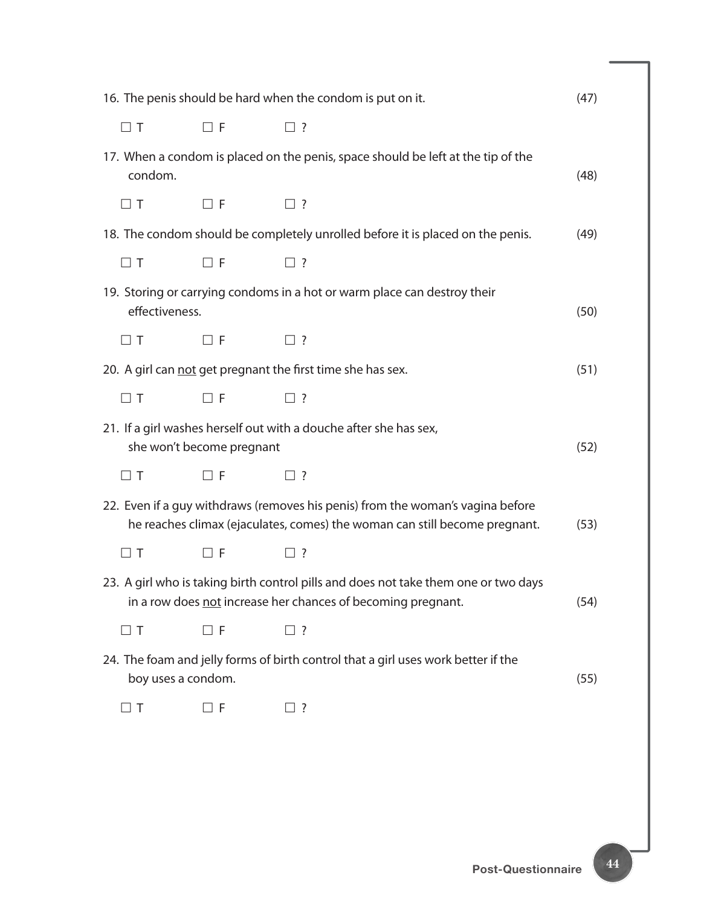| 16. The penis should be hard when the condom is put on it.                                                      |                           |                                                                                                                                                              |      |  |  |
|-----------------------------------------------------------------------------------------------------------------|---------------------------|--------------------------------------------------------------------------------------------------------------------------------------------------------------|------|--|--|
| $\Box$ T                                                                                                        | $\Box$ F                  | $\square$ ?                                                                                                                                                  |      |  |  |
| condom.                                                                                                         |                           | 17. When a condom is placed on the penis, space should be left at the tip of the                                                                             | (48) |  |  |
| $\Box$ T                                                                                                        | $\Box$ F                  | $\square$ ?                                                                                                                                                  |      |  |  |
|                                                                                                                 |                           | 18. The condom should be completely unrolled before it is placed on the penis.                                                                               | (49) |  |  |
| $\Box$ T                                                                                                        | $\Box$ F                  | $\Box$ ?                                                                                                                                                     |      |  |  |
| effectiveness.                                                                                                  |                           | 19. Storing or carrying condoms in a hot or warm place can destroy their                                                                                     | (50) |  |  |
| $\Box$ T                                                                                                        | $\Box$ F                  | $\square$ ?                                                                                                                                                  |      |  |  |
|                                                                                                                 |                           | 20. A girl can not get pregnant the first time she has sex.                                                                                                  | (51) |  |  |
| $\Box$ T                                                                                                        | $\Box$ F                  | $\square$ ?                                                                                                                                                  |      |  |  |
|                                                                                                                 | she won't become pregnant | 21. If a girl washes herself out with a douche after she has sex,                                                                                            | (52) |  |  |
| $\Box$ T                                                                                                        | $\Box$ F                  | $\Box$ ?                                                                                                                                                     |      |  |  |
|                                                                                                                 |                           | 22. Even if a guy withdraws (removes his penis) from the woman's vagina before<br>he reaches climax (ejaculates, comes) the woman can still become pregnant. | (53) |  |  |
| $\Box$ T                                                                                                        | $\Box$ F                  | $\Box$ ?                                                                                                                                                     |      |  |  |
|                                                                                                                 |                           | 23. A girl who is taking birth control pills and does not take them one or two days<br>in a row does not increase her chances of becoming pregnant.          | (54) |  |  |
| $\Box$ T                                                                                                        | $\Box$ F                  | $\square$ ?                                                                                                                                                  |      |  |  |
| 24. The foam and jelly forms of birth control that a girl uses work better if the<br>boy uses a condom.<br>(55) |                           |                                                                                                                                                              |      |  |  |
| $\Box$ T                                                                                                        | $\Box$ F                  | $\square$ ?                                                                                                                                                  |      |  |  |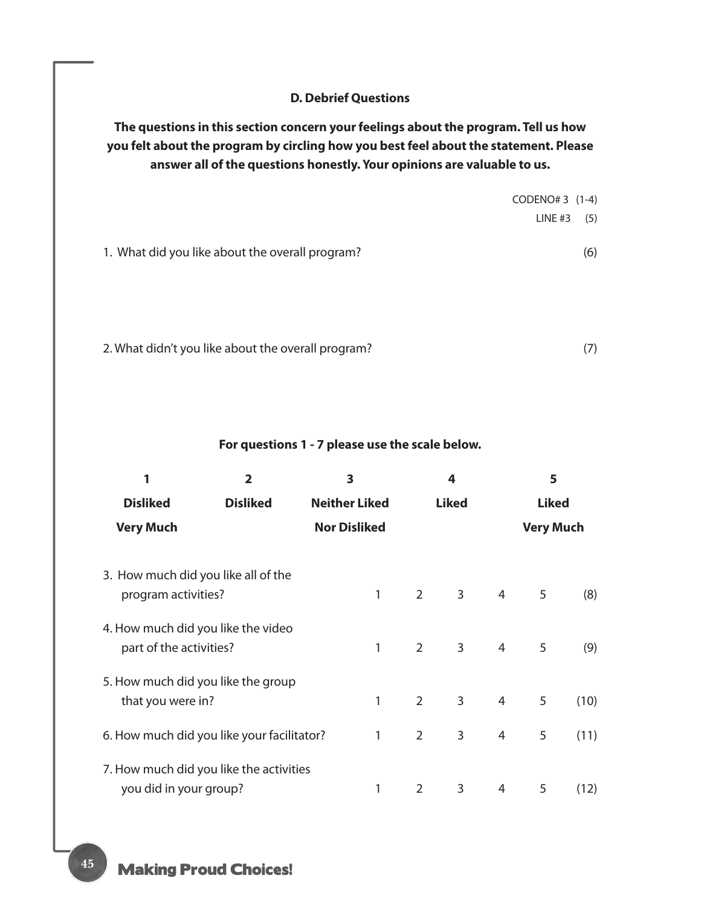#### **D. Debrief Questions**

**The questions in this section concern your feelings about the program. Tell us how you felt about the program by circling how you best feel about the statement. Please answer all of the questions honestly. Your opinions are valuable to us.**

|                                                 | CODENO# 3 (1-4) |
|-------------------------------------------------|-----------------|
|                                                 | (5)<br>LINE #3  |
|                                                 |                 |
| 1. What did you like about the overall program? | (6)             |
|                                                 |                 |
|                                                 |                 |
|                                                 |                 |

2. What didn't you like about the overall program? (7)

**For questions 1 - 7 please use the scale below.**

| 1                                                             | $\overline{2}$                             | 3<br><b>Neither Liked</b><br><b>Nor Disliked</b> |                | 4<br><b>Liked</b> |   | 5<br><b>Liked</b> |      |  |
|---------------------------------------------------------------|--------------------------------------------|--------------------------------------------------|----------------|-------------------|---|-------------------|------|--|
| <b>Disliked</b>                                               | <b>Disliked</b>                            |                                                  |                |                   |   |                   |      |  |
| <b>Very Much</b>                                              |                                            |                                                  |                |                   |   | <b>Very Much</b>  |      |  |
|                                                               |                                            |                                                  |                |                   |   |                   |      |  |
| 3. How much did you like all of the<br>program activities?    |                                            | 1                                                | $\overline{2}$ | 3                 | 4 | 5                 | (8)  |  |
| 4. How much did you like the video<br>part of the activities? |                                            | 1                                                | $\overline{2}$ | $\mathbf{3}$      | 4 | 5                 | (9)  |  |
| 5. How much did you like the group<br>that you were in?       |                                            | 1                                                | $\overline{2}$ | 3                 | 4 | 5                 | (10) |  |
|                                                               | 6. How much did you like your facilitator? | 1                                                | $\overline{2}$ | 3                 | 4 | 5                 | (11) |  |
| you did in your group?                                        | 7. How much did you like the activities    | 1                                                | 2              | 3                 | 4 | 5                 | (12) |  |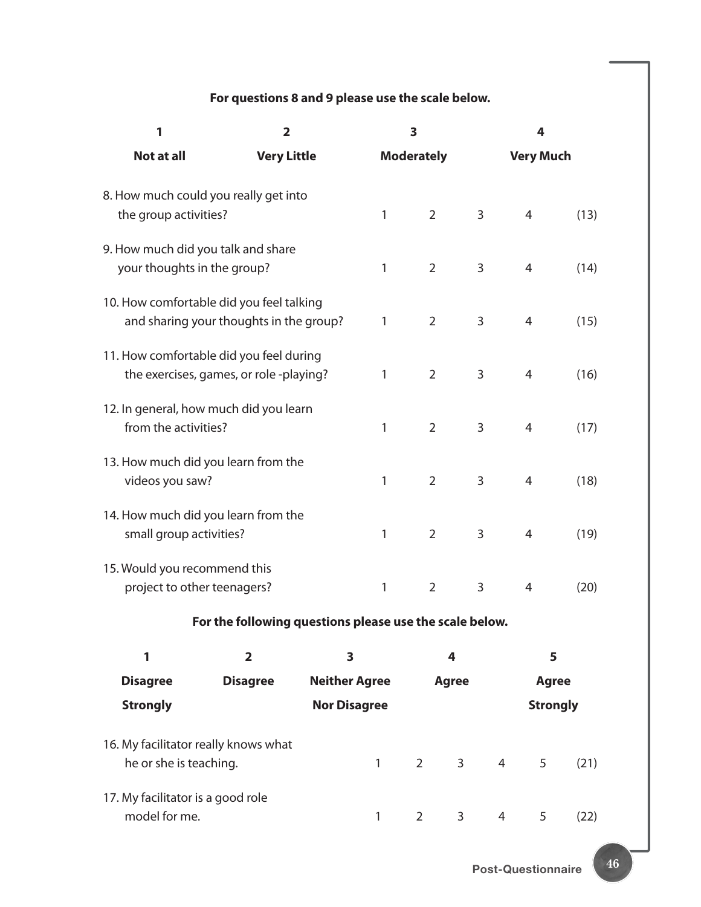## **For questions 8 and 9 please use the scale below.**

| 1                                                                                   | $\overline{\mathbf{2}}$                                 |                     | 3                    |                                |                | 4                |                 |      |  |
|-------------------------------------------------------------------------------------|---------------------------------------------------------|---------------------|----------------------|--------------------------------|----------------|------------------|-----------------|------|--|
| Not at all                                                                          | <b>Very Little</b>                                      |                     | <b>Moderately</b>    |                                |                | <b>Very Much</b> |                 |      |  |
| 8. How much could you really get into<br>the group activities?                      |                                                         |                     | 1                    | $\overline{2}$                 | 3              | 4                |                 | (13) |  |
| 9. How much did you talk and share<br>your thoughts in the group?                   |                                                         |                     | 1                    | $\overline{2}$                 | 3              | 4                |                 | (14) |  |
| 10. How comfortable did you feel talking<br>and sharing your thoughts in the group? |                                                         |                     | $\mathbf{1}$         | $\overline{2}$                 | 3              | 4                |                 | (15) |  |
| 11. How comfortable did you feel during<br>the exercises, games, or role-playing?   |                                                         |                     | 1                    | $\overline{2}$                 | 3              | 4                |                 | (16) |  |
| 12. In general, how much did you learn<br>from the activities?                      |                                                         |                     | 1                    | $\overline{2}$                 | 3              | 4                |                 | (17) |  |
| 13. How much did you learn from the<br>videos you saw?                              |                                                         |                     | 1                    | $\overline{2}$                 | 3              | 4                |                 | (18) |  |
| 14. How much did you learn from the<br>small group activities?                      |                                                         |                     | $\mathbf{1}$         | $\overline{2}$                 | 3              | $\overline{4}$   |                 | (19) |  |
| 15. Would you recommend this<br>project to other teenagers?                         |                                                         |                     | $\mathbf{1}$         | $\overline{2}$                 | 3              | $\overline{4}$   |                 | (20) |  |
|                                                                                     | For the following questions please use the scale below. |                     |                      |                                |                |                  |                 |      |  |
| 1                                                                                   | $\overline{2}$                                          | 3                   |                      | 4                              |                |                  | 5               |      |  |
| <b>Disagree</b>                                                                     | <b>Disagree</b>                                         |                     | <b>Neither Agree</b> |                                | <b>Agree</b>   |                  | <b>Agree</b>    |      |  |
| <b>Strongly</b>                                                                     |                                                         | <b>Nor Disagree</b> |                      |                                |                |                  | <b>Strongly</b> |      |  |
| 16. My facilitator really knows what<br>he or she is teaching.                      |                                                         |                     | $\mathbf{1}$         | $2 \left( \frac{1}{2} \right)$ | 3 <sup>7</sup> | $4 \quad$        | 5               | (21) |  |
| 17. My facilitator is a good role<br>model for me.                                  |                                                         |                     | 1                    | 2                              | 3              | 4                | 5               | (22) |  |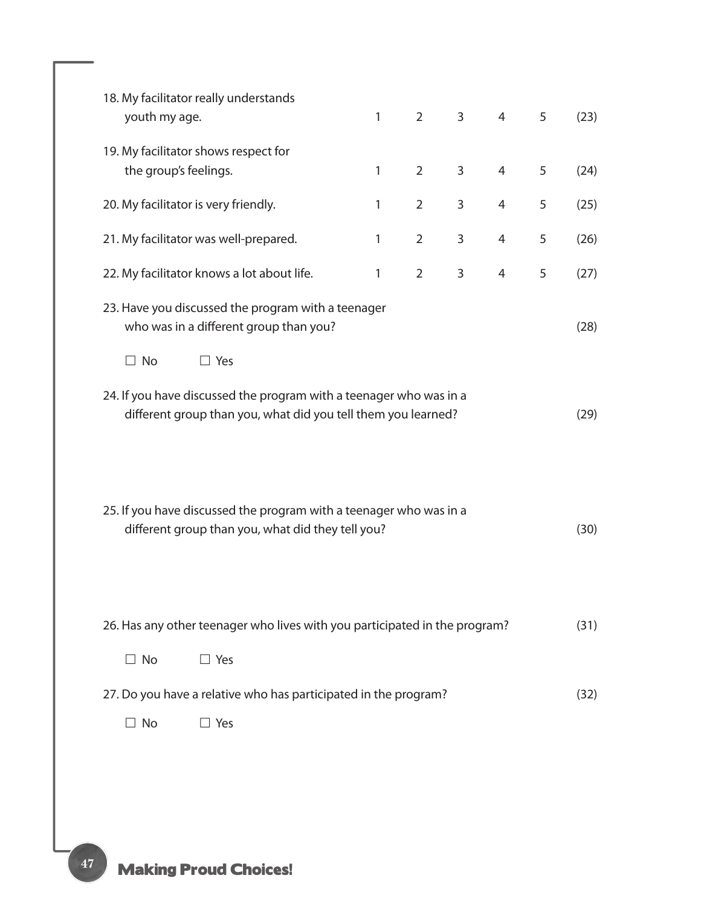| 18. My facilitator really understands<br>youth my age.                                                                              |                                                                 | 1 | $2^{\circ}$    | $\mathsf{3}$ | $\overline{4}$ | 5 | (23) |
|-------------------------------------------------------------------------------------------------------------------------------------|-----------------------------------------------------------------|---|----------------|--------------|----------------|---|------|
| 19. My facilitator shows respect for<br>the group's feelings.                                                                       |                                                                 | 1 | 2              | 3            | 4              | 5 | (24) |
| 20. My facilitator is very friendly.                                                                                                |                                                                 | 1 | $\overline{2}$ | 3            | 4              | 5 | (25) |
| 21. My facilitator was well-prepared.                                                                                               |                                                                 | 1 | $\overline{2}$ | 3            | 4              | 5 | (26) |
| 22. My facilitator knows a lot about life.                                                                                          |                                                                 | 1 | $\overline{2}$ | $\mathbf{3}$ | $\overline{4}$ | 5 | (27) |
| 23. Have you discussed the program with a teenager<br>who was in a different group than you?                                        |                                                                 |   |                |              |                |   |      |
| $\Box$ No                                                                                                                           | $\Box$ Yes                                                      |   |                |              |                |   |      |
| 24. If you have discussed the program with a teenager who was in a<br>different group than you, what did you tell them you learned? |                                                                 |   |                |              |                |   | (29) |
| 25. If you have discussed the program with a teenager who was in a<br>different group than you, what did they tell you?             |                                                                 |   |                |              |                |   | (30) |
| 26. Has any other teenager who lives with you participated in the program?                                                          |                                                                 |   |                |              |                |   | (31) |
| $\Box$ No                                                                                                                           | $\Box$ Yes                                                      |   |                |              |                |   |      |
|                                                                                                                                     | 27. Do you have a relative who has participated in the program? |   |                |              |                |   | (32) |
| $\Box$ No                                                                                                                           | $\Box$ Yes                                                      |   |                |              |                |   |      |
|                                                                                                                                     |                                                                 |   |                |              |                |   |      |
|                                                                                                                                     |                                                                 |   |                |              |                |   |      |
|                                                                                                                                     |                                                                 |   |                |              |                |   |      |